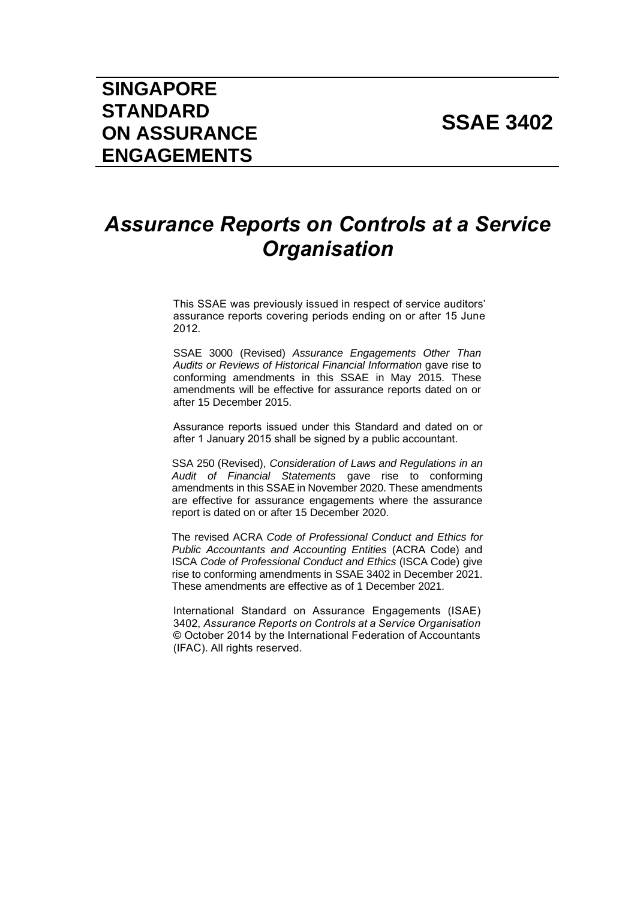# **SINGAPORE STANDARD ON ASSURANCE ENGAGEMENTS**

# *Assurance Reports on Controls at a Service Organisation*

This SSAE was previously issued in respect of service auditors' assurance reports covering periods ending on or after 15 June 2012.

SSAE 3000 (Revised) *Assurance Engagements Other Than Audits or Reviews of Historical Financial Information* gave rise to conforming amendments in this SSAE in May 2015. These amendments will be effective for assurance reports dated on or after 15 December 2015.

Assurance reports issued under this Standard and dated on or after 1 January 2015 shall be signed by a public accountant.

SSA 250 (Revised), *Consideration of Laws and Regulations in an Audit of Financial Statements* gave rise to conforming amendments in this SSAE in November 2020. These amendments are effective for assurance engagements where the assurance report is dated on or after 15 December 2020.

The revised ACRA *Code of Professional Conduct and Ethics for Public Accountants and Accounting Entities* (ACRA Code) and ISCA *Code of Professional Conduct and Ethics* (ISCA Code) give rise to conforming amendments in SSAE 3402 in December 2021. These amendments are effective as of 1 December 2021.

International Standard on Assurance Engagements (ISAE) 3402, *Assurance Reports on Controls at a Service Organisation* © October 2014 by the International Federation of Accountants (IFAC). All rights reserved.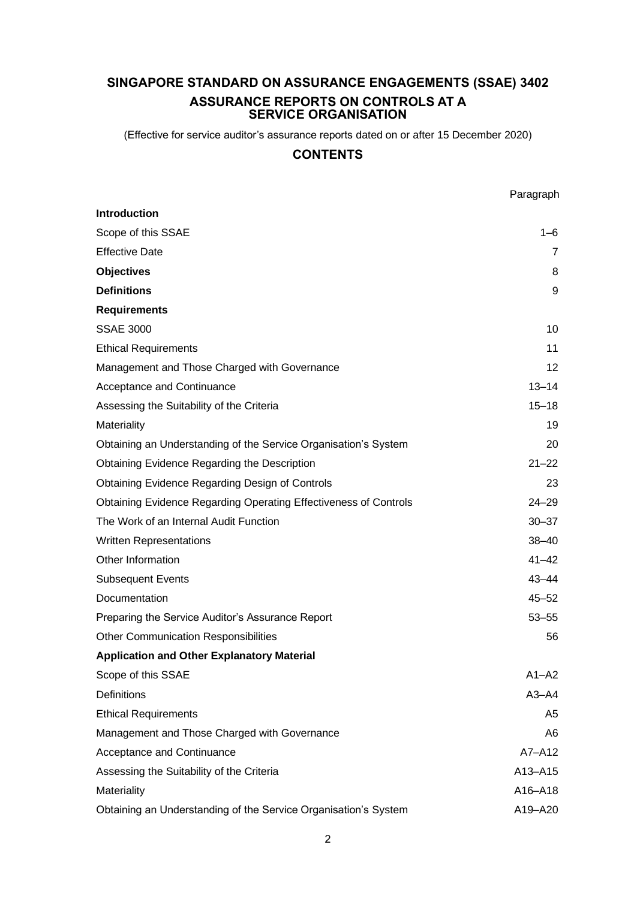## **SINGAPORE STANDARD ON ASSURANCE ENGAGEMENTS (SSAE) 3402 ASSURANCE REPORTS ON CONTROLS AT A SERVICE ORGANISATION**

(Effective for service auditor's assurance reports dated on or after 15 December 2020)

## **CONTENTS**

**Introduction** Scope of this SSAE 1–6 Effective Date 7 2 **Objectives** 8 **Definitions** 9 **Requirements** SSAE 3000 10 Ethical Requirements 11 Management and Those Charged with Governance 12 Acceptance and Continuance 13–14 Assessing the Suitability of the Criteria 15–18 Materiality 19 Obtaining an Understanding of the Service Organisation's System 20 Obtaining Evidence Regarding the Description 21–22 Obtaining Evidence Regarding Design of Controls 23 Obtaining Evidence Regarding Operating Effectiveness of Controls 24–29 The Work of an Internal Audit Function 30–37 Written Representations 38–40 Other Information 41–42 Subsequent Events 43–44 Documentation 45–52 Preparing the Service Auditor's Assurance Report 53–55 Other Communication Responsibilities 56 **Application and Other Explanatory Material** Scope of this SSAE A1–A2 Definitions A3–A4 Ethical Requirements A5 Management and Those Charged with Governance Management and Those Charged with Governance Acceptance and Continuance A7–A12 Assessing the Suitability of the Criteria A13–A15 Materiality A16–A18

Paragraph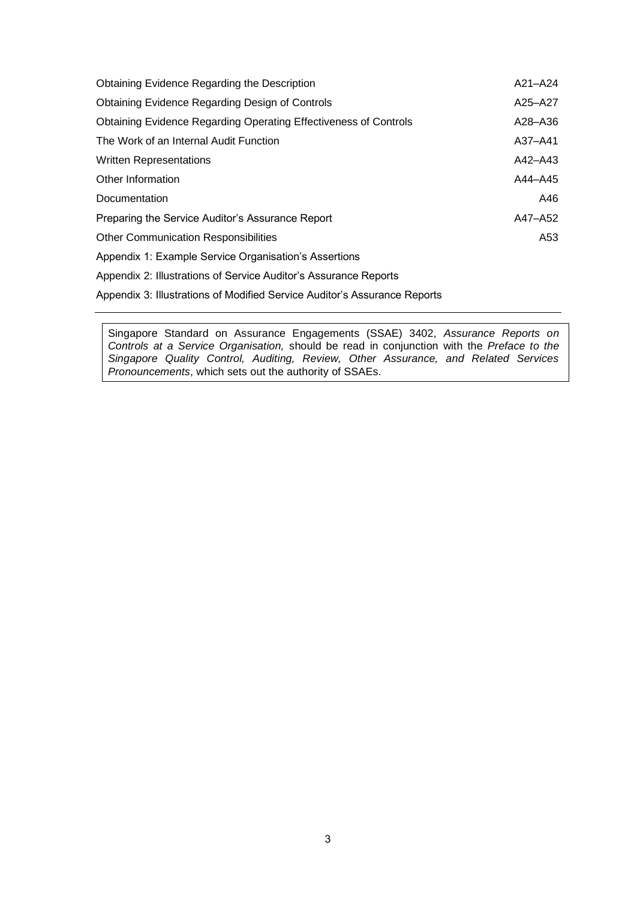| Obtaining Evidence Regarding the Description                              | A21-A24 |
|---------------------------------------------------------------------------|---------|
| <b>Obtaining Evidence Regarding Design of Controls</b>                    | A25-A27 |
| <b>Obtaining Evidence Regarding Operating Effectiveness of Controls</b>   | A28-A36 |
| The Work of an Internal Audit Function                                    | A37-A41 |
| <b>Written Representations</b>                                            | A42-A43 |
| Other Information                                                         | A44-A45 |
| Documentation                                                             | A46     |
| Preparing the Service Auditor's Assurance Report                          | A47-A52 |
| <b>Other Communication Responsibilities</b>                               | A53     |
| Appendix 1: Example Service Organisation's Assertions                     |         |
| Appendix 2: Illustrations of Service Auditor's Assurance Reports          |         |
| Appendix 3: Illustrations of Modified Service Auditor's Assurance Reports |         |

Singapore Standard on Assurance Engagements (SSAE) 3402, *Assurance Reports on Controls at a Service Organisation,* should be read in conjunction with the *Preface to the Singapore Quality Control, Auditing, Review, Other Assurance, and Related Services Pronouncements*, which sets out the authority of SSAEs.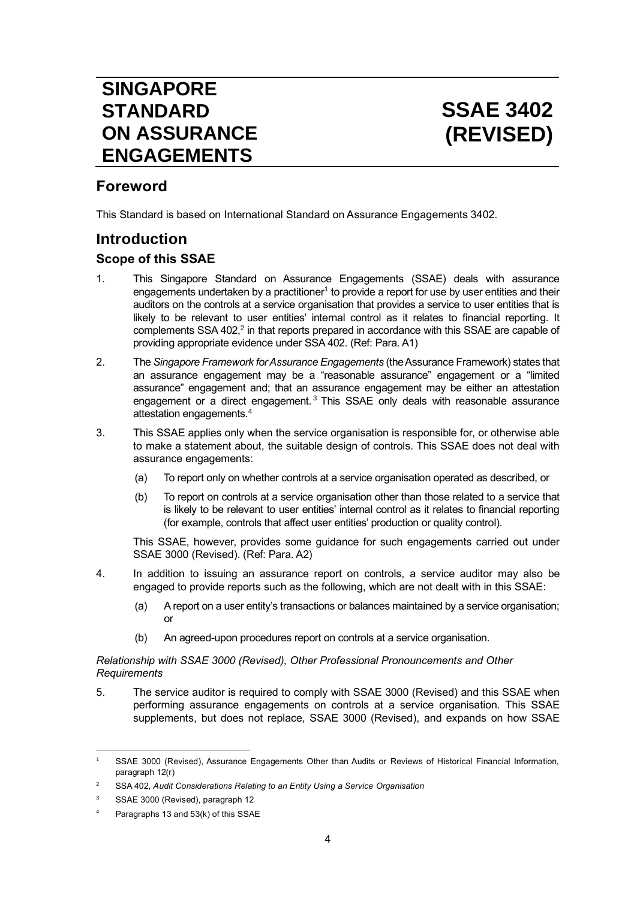# **SINGAPORE STANDARD ON ASSURANCE ENGAGEMENTS**

# **SSAE 3402 (REVISED)**

## **Foreword**

This Standard is based on International Standard on Assurance Engagements 3402.

# **Introduction**

## **Scope of this SSAE**

- 1. This Singapore Standard on Assurance Engagements (SSAE) deals with assurance engagements undertaken by a practitioner $^1$  to provide a report for use by user entities and their auditors on the controls at a service organisation that provides a service to user entities that is likely to be relevant to user entities' internal control as it relates to financial reporting. It complements SSA 402,<sup>2</sup> in that reports prepared in accordance with this SSAE are capable of providing appropriate evidence under SSA 402. (Ref: Para. A1)
- 2. The *Singapore Framework for Assurance Engagements* (the Assurance Framework) states that an assurance engagement may be a "reasonable assurance" engagement or a "limited assurance" engagement and; that an assurance engagement may be either an attestation engagement or a direct engagement.<sup>3</sup> This SSAE only deals with reasonable assurance attestation engagements.<sup>4</sup>
- 3. This SSAE applies only when the service organisation is responsible for, or otherwise able to make a statement about, the suitable design of controls. This SSAE does not deal with assurance engagements:
	- (a) To report only on whether controls at a service organisation operated as described, or
	- (b) To report on controls at a service organisation other than those related to a service that is likely to be relevant to user entities' internal control as it relates to financial reporting (for example, controls that affect user entities' production or quality control).

This SSAE, however, provides some guidance for such engagements carried out under SSAE 3000 (Revised). (Ref: Para. A2)

- 4. In addition to issuing an assurance report on controls, a service auditor may also be engaged to provide reports such as the following, which are not dealt with in this SSAE:
	- (a) A report on a user entity's transactions or balances maintained by a service organisation; or
	- (b) An agreed-upon procedures report on controls at a service organisation.

*Relationship with SSAE 3000 (Revised), Other Professional Pronouncements and Other Requirements*

5. The service auditor is required to comply with SSAE 3000 (Revised) and this SSAE when performing assurance engagements on controls at a service organisation. This SSAE supplements, but does not replace, SSAE 3000 (Revised), and expands on how SSAE

<sup>1</sup> SSAE 3000 (Revised), Assurance Engagements Other than Audits or Reviews of Historical Financial Information, paragraph 12(r)

<sup>2</sup> SSA 402, *Audit Considerations Relating to an Entity Using a Service Organisation*

<sup>3</sup> SSAE 3000 (Revised), paragraph 12

Paragraphs 13 and 53(k) of this SSAE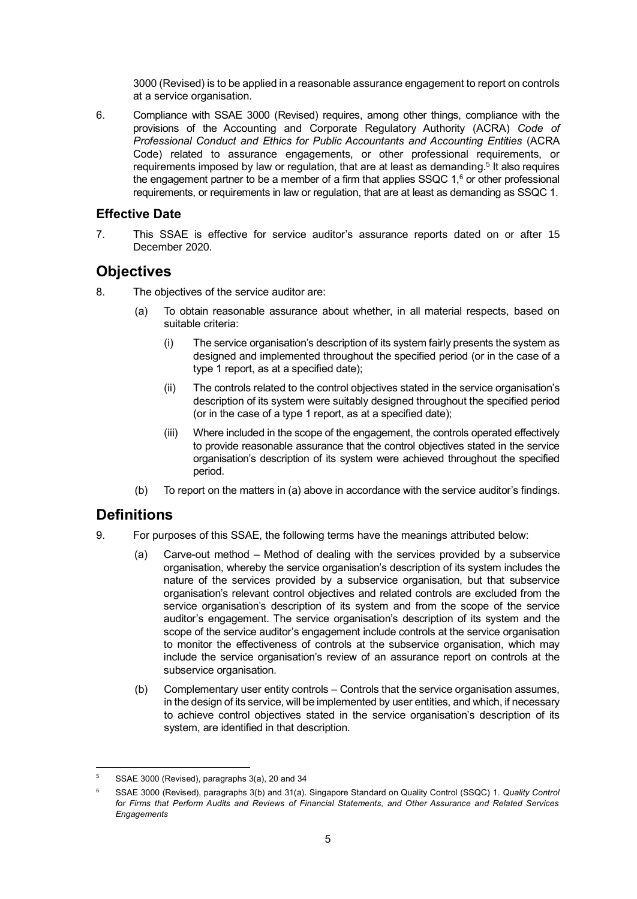3000 (Revised) is to be applied in a reasonable assurance engagement to report on controls at a service organisation.

6. Compliance with SSAE 3000 (Revised) requires, among other things, compliance with the provisions of the Accounting and Corporate Regulatory Authority (ACRA) *Code of Professional Conduct and Ethics for Public Accountants and Accounting Entities* (ACRA Code) related to assurance engagements, or other professional requirements, or requirements imposed by law or regulation, that are at least as demanding.<sup>5</sup> It also requires the engagement partner to be a member of a firm that applies SSQC  $1,^6$  or other professional requirements, or requirements in law or regulation, that are at least as demanding as SSQC 1.

## **Effective Date**

7. This SSAE is effective for service auditor's assurance reports dated on or after 15 December 2020.

## **Objectives**

- 8. The objectives of the service auditor are:
	- (a) To obtain reasonable assurance about whether, in all material respects, based on suitable criteria:
		- (i) The service organisation's description of its system fairly presents the system as designed and implemented throughout the specified period (or in the case of a type 1 report, as at a specified date);
		- (ii) The controls related to the control objectives stated in the service organisation's description of its system were suitably designed throughout the specified period (or in the case of a type 1 report, as at a specified date);
		- (iii) Where included in the scope of the engagement, the controls operated effectively to provide reasonable assurance that the control objectives stated in the service organisation's description of its system were achieved throughout the specified period.
	- (b) To report on the matters in (a) above in accordance with the service auditor's findings.

## **Definitions**

- 9. For purposes of this SSAE, the following terms have the meanings attributed below:
	- (a) Carve-out method Method of dealing with the services provided by a subservice organisation, whereby the service organisation's description of its system includes the nature of the services provided by a subservice organisation, but that subservice organisation's relevant control objectives and related controls are excluded from the service organisation's description of its system and from the scope of the service auditor's engagement. The service organisation's description of its system and the scope of the service auditor's engagement include controls at the service organisation to monitor the effectiveness of controls at the subservice organisation, which may include the service organisation's review of an assurance report on controls at the subservice organisation.
	- (b) Complementary user entity controls Controls that the service organisation assumes, in the design of its service, will be implemented by user entities, and which, if necessary to achieve control objectives stated in the service organisation's description of its system, are identified in that description.

<sup>5</sup> SSAE 3000 (Revised), paragraphs 3(a), 20 and 34

<sup>6</sup> SSAE 3000 (Revised), paragraphs 3(b) and 31(a). Singapore Standard on Quality Control (SSQC) 1. *Quality Control for Firms that Perform Audits and Reviews of Financial Statements, and Other Assurance and Related Services Engagements*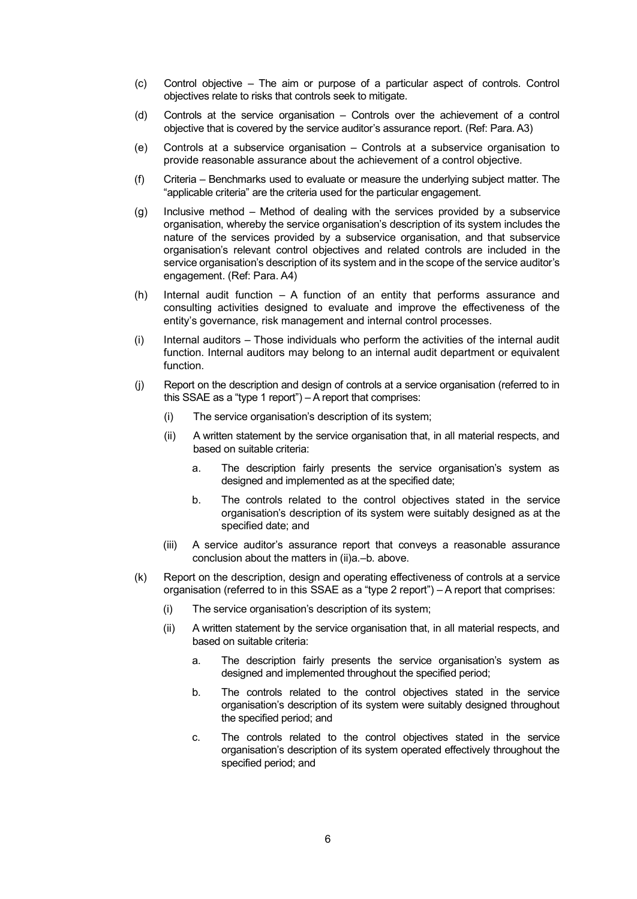- (c) Control objective The aim or purpose of a particular aspect of controls. Control objectives relate to risks that controls seek to mitigate.
- (d) Controls at the service organisation Controls over the achievement of a control objective that is covered by the service auditor's assurance report. (Ref: Para. A3)
- (e) Controls at a subservice organisation Controls at a subservice organisation to provide reasonable assurance about the achievement of a control objective.
- (f) Criteria Benchmarks used to evaluate or measure the underlying subject matter. The "applicable criteria" are the criteria used for the particular engagement.
- (g) Inclusive method Method of dealing with the services provided by a subservice organisation, whereby the service organisation's description of its system includes the nature of the services provided by a subservice organisation, and that subservice organisation's relevant control objectives and related controls are included in the service organisation's description of its system and in the scope of the service auditor's engagement. (Ref: Para. A4)
- (h) Internal audit function A function of an entity that performs assurance and consulting activities designed to evaluate and improve the effectiveness of the entity's governance, risk management and internal control processes.
- (i) Internal auditors Those individuals who perform the activities of the internal audit function. Internal auditors may belong to an internal audit department or equivalent function.
- (j) Report on the description and design of controls at a service organisation (referred to in this SSAE as a "type 1 report") – A report that comprises:
	- (i) The service organisation's description of its system;
	- (ii) A written statement by the service organisation that, in all material respects, and based on suitable criteria:
		- a. The description fairly presents the service organisation's system as designed and implemented as at the specified date;
		- b. The controls related to the control objectives stated in the service organisation's description of its system were suitably designed as at the specified date; and
	- (iii) A service auditor's assurance report that conveys a reasonable assurance conclusion about the matters in (ii)a.–b. above.
- (k) Report on the description, design and operating effectiveness of controls at a service organisation (referred to in this SSAE as a "type 2 report") – A report that comprises:
	- (i) The service organisation's description of its system;
	- (ii) A written statement by the service organisation that, in all material respects, and based on suitable criteria:
		- a. The description fairly presents the service organisation's system as designed and implemented throughout the specified period;
		- b. The controls related to the control objectives stated in the service organisation's description of its system were suitably designed throughout the specified period; and
		- c. The controls related to the control objectives stated in the service organisation's description of its system operated effectively throughout the specified period; and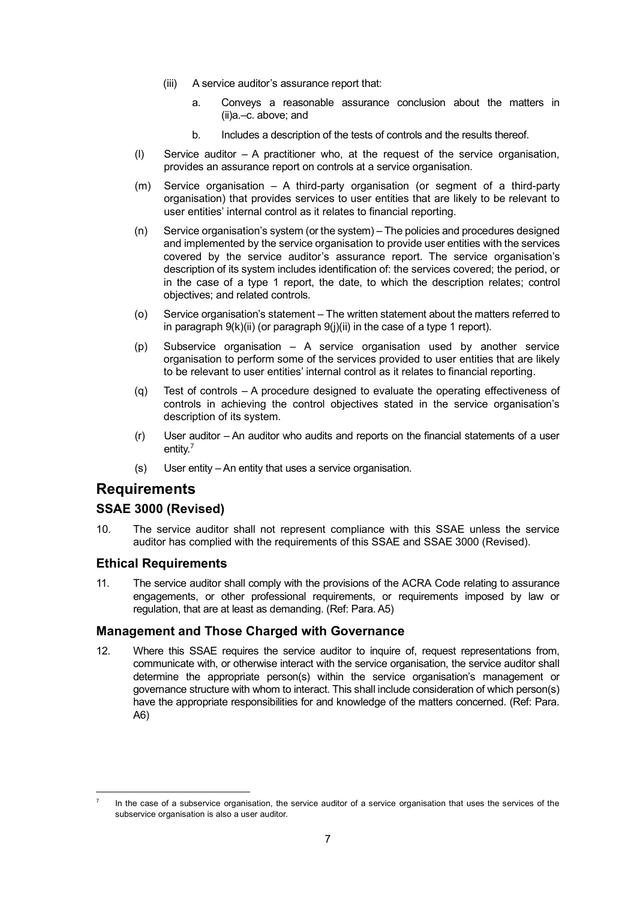- (iii) A service auditor's assurance report that:
	- a. Conveys a reasonable assurance conclusion about the matters in (ii)a.–c. above; and
	- b. Includes a description of the tests of controls and the results thereof.
- (l) Service auditor A practitioner who, at the request of the service organisation, provides an assurance report on controls at a service organisation.
- (m) Service organisation A third-party organisation (or segment of a third-party organisation) that provides services to user entities that are likely to be relevant to user entities' internal control as it relates to financial reporting.
- (n) Service organisation's system (or the system) The policies and procedures designed and implemented by the service organisation to provide user entities with the services covered by the service auditor's assurance report. The service organisation's description of its system includes identification of: the services covered; the period, or in the case of a type 1 report, the date, to which the description relates; control objectives; and related controls.
- (o) Service organisation's statement The written statement about the matters referred to in paragraph  $9(k)$ (ii) (or paragraph  $9(i)$ (ii) in the case of a type 1 report).
- (p) Subservice organisation A service organisation used by another service organisation to perform some of the services provided to user entities that are likely to be relevant to user entities' internal control as it relates to financial reporting.
- (q) Test of controls A procedure designed to evaluate the operating effectiveness of controls in achieving the control objectives stated in the service organisation's description of its system.
- (r) User auditor An auditor who audits and reports on the financial statements of a user entity.<sup>7</sup>
- (s) User entity –An entity that uses a service organisation.

## **Requirements**

## **SSAE 3000 (Revised)**

10. The service auditor shall not represent compliance with this SSAE unless the service auditor has complied with the requirements of this SSAE and SSAE 3000 (Revised).

## **Ethical Requirements**

11. The service auditor shall comply with the provisions of the ACRA Code relating to assurance engagements, or other professional requirements, or requirements imposed by law or regulation, that are at least as demanding. (Ref: Para. A5)

## **Management and Those Charged with Governance**

12. Where this SSAE requires the service auditor to inquire of, request representations from, communicate with, or otherwise interact with the service organisation, the service auditor shall determine the appropriate person(s) within the service organisation's management or governance structure with whom to interact. This shall include consideration of which person(s) have the appropriate responsibilities for and knowledge of the matters concerned. (Ref: Para. A6)

<sup>7</sup> In the case of a subservice organisation, the service auditor of a service organisation that uses the services of the subservice organisation is also a user auditor.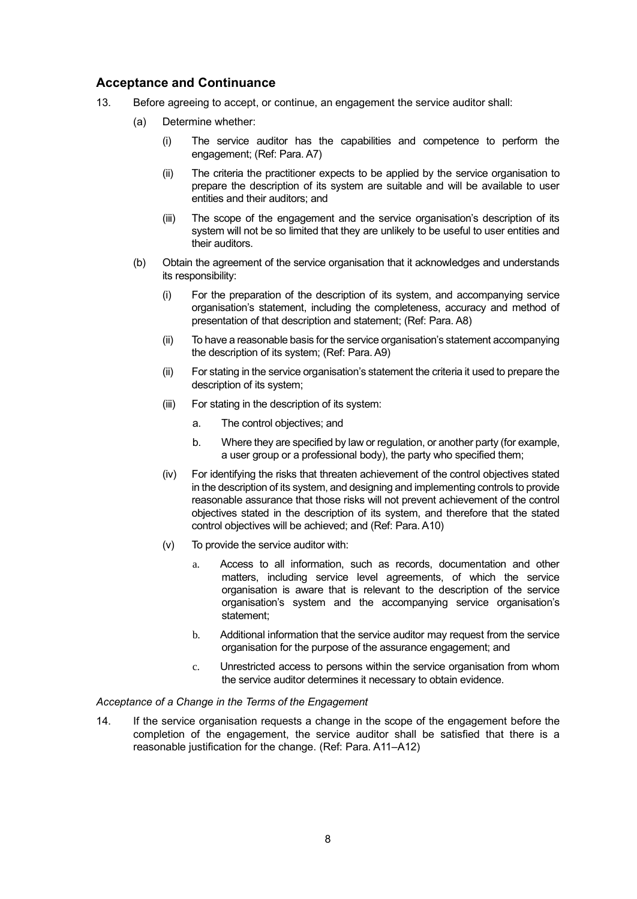## **Acceptance and Continuance**

- 13. Before agreeing to accept, or continue, an engagement the service auditor shall:
	- (a) Determine whether:
		- (i) The service auditor has the capabilities and competence to perform the engagement; (Ref: Para. A7)
		- (ii) The criteria the practitioner expects to be applied by the service organisation to prepare the description of its system are suitable and will be available to user entities and their auditors; and
		- (iii) The scope of the engagement and the service organisation's description of its system will not be so limited that they are unlikely to be useful to user entities and their auditors.
	- (b) Obtain the agreement of the service organisation that it acknowledges and understands its responsibility:
		- (i) For the preparation of the description of its system, and accompanying service organisation's statement, including the completeness, accuracy and method of presentation of that description and statement; (Ref: Para. A8)
		- (ii) To have a reasonable basis for the service organisation's statement accompanying the description of its system; (Ref: Para. A9)
		- (ii) For stating in the service organisation's statement the criteria it used to prepare the description of its system;
		- (iii) For stating in the description of its system:
			- a. The control objectives; and
			- b. Where they are specified by law or regulation, or another party (for example, a user group or a professional body), the party who specified them;
		- (iv) For identifying the risks that threaten achievement of the control objectives stated in the description of its system, and designing and implementing controls to provide reasonable assurance that those risks will not prevent achievement of the control objectives stated in the description of its system, and therefore that the stated control objectives will be achieved; and (Ref: Para. A10)
		- (v) To provide the service auditor with:
			- a. Access to all information, such as records, documentation and other matters, including service level agreements, of which the service organisation is aware that is relevant to the description of the service organisation's system and the accompanying service organisation's statement;
			- b. Additional information that the service auditor may request from the service organisation for the purpose of the assurance engagement; and
			- c. Unrestricted access to persons within the service organisation from whom the service auditor determines it necessary to obtain evidence.

#### *Acceptance of a Change in the Terms of the Engagement*

14. If the service organisation requests a change in the scope of the engagement before the completion of the engagement, the service auditor shall be satisfied that there is a reasonable justification for the change. (Ref: Para. A11–A12)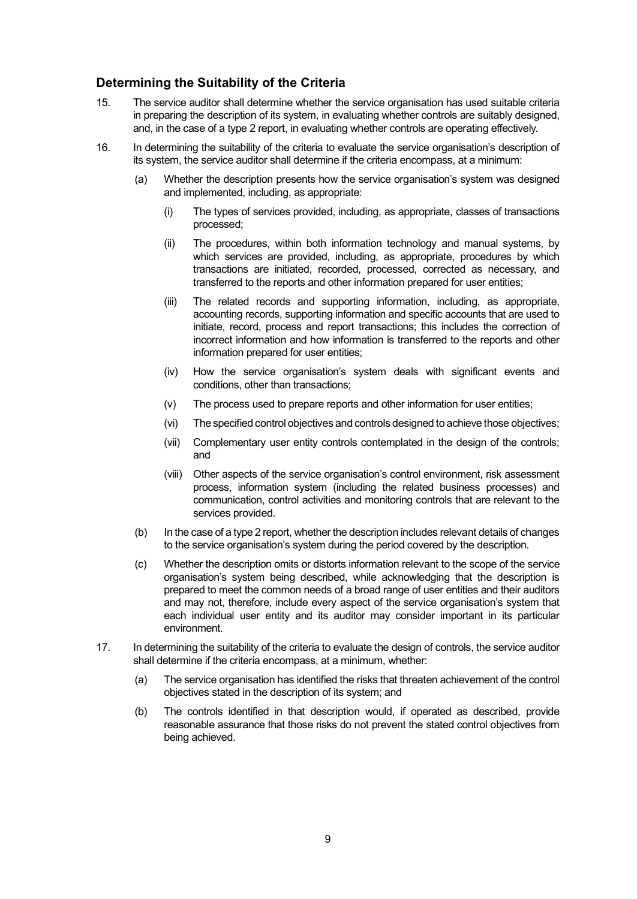## **Determining the Suitability of the Criteria**

- 15. The service auditor shall determine whether the service organisation has used suitable criteria in preparing the description of its system, in evaluating whether controls are suitably designed, and, in the case of a type 2 report, in evaluating whether controls are operating effectively.
- 16. In determining the suitability of the criteria to evaluate the service organisation's description of its system, the service auditor shall determine if the criteria encompass, at a minimum:
	- (a) Whether the description presents how the service organisation's system was designed and implemented, including, as appropriate:
		- (i) The types of services provided, including, as appropriate, classes of transactions processed;
		- (ii) The procedures, within both information technology and manual systems, by which services are provided, including, as appropriate, procedures by which transactions are initiated, recorded, processed, corrected as necessary, and transferred to the reports and other information prepared for user entities;
		- (iii) The related records and supporting information, including, as appropriate, accounting records, supporting information and specific accounts that are used to initiate, record, process and report transactions; this includes the correction of incorrect information and how information is transferred to the reports and other information prepared for user entities;
		- (iv) How the service organisation's system deals with significant events and conditions, other than transactions;
		- (v) The process used to prepare reports and other information for user entities;
		- (vi) The specified control objectives and controls designed to achieve those objectives;
		- (vii) Complementary user entity controls contemplated in the design of the controls; and
		- (viii) Other aspects of the service organisation's control environment, risk assessment process, information system (including the related business processes) and communication, control activities and monitoring controls that are relevant to the services provided.
	- (b) In the case of a type 2 report, whether the description includes relevant details of changes to the service organisation's system during the period covered by the description.
	- (c) Whether the description omits or distorts information relevant to the scope of the service organisation's system being described, while acknowledging that the description is prepared to meet the common needs of a broad range of user entities and their auditors and may not, therefore, include every aspect of the service organisation's system that each individual user entity and its auditor may consider important in its particular environment.
- 17. In determining the suitability of the criteria to evaluate the design of controls, the service auditor shall determine if the criteria encompass, at a minimum, whether:
	- (a) The service organisation has identified the risks that threaten achievement of the control objectives stated in the description of its system; and
	- (b) The controls identified in that description would, if operated as described, provide reasonable assurance that those risks do not prevent the stated control objectives from being achieved.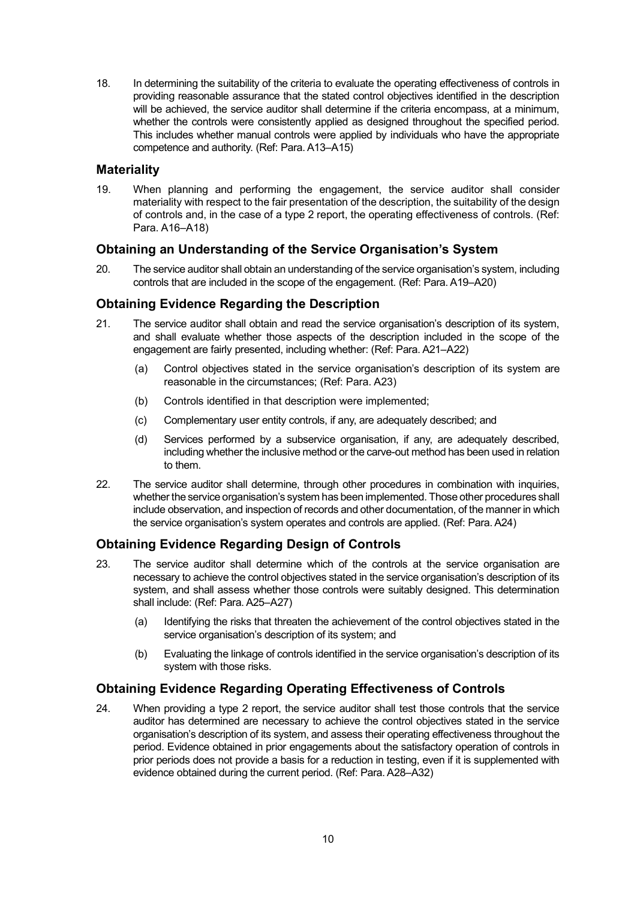18. In determining the suitability of the criteria to evaluate the operating effectiveness of controls in providing reasonable assurance that the stated control objectives identified in the description will be achieved, the service auditor shall determine if the criteria encompass, at a minimum, whether the controls were consistently applied as designed throughout the specified period. This includes whether manual controls were applied by individuals who have the appropriate competence and authority. (Ref: Para. A13–A15)

## **Materiality**

19. When planning and performing the engagement, the service auditor shall consider materiality with respect to the fair presentation of the description, the suitability of the design of controls and, in the case of a type 2 report, the operating effectiveness of controls. (Ref: Para. A16–A18)

## **Obtaining an Understanding of the Service Organisation's System**

20. The service auditor shall obtain an understanding of the service organisation's system, including controls that are included in the scope of the engagement. (Ref: Para. A19–A20)

## **Obtaining Evidence Regarding the Description**

- 21. The service auditor shall obtain and read the service organisation's description of its system, and shall evaluate whether those aspects of the description included in the scope of the engagement are fairly presented, including whether: (Ref: Para. A21–A22)
	- (a) Control objectives stated in the service organisation's description of its system are reasonable in the circumstances; (Ref: Para. A23)
	- (b) Controls identified in that description were implemented;
	- (c) Complementary user entity controls, if any, are adequately described; and
	- (d) Services performed by a subservice organisation, if any, are adequately described, including whether the inclusive method or the carve-out method has been used in relation to them.
- 22. The service auditor shall determine, through other procedures in combination with inquiries, whether the service organisation's system has been implemented. Those other procedures shall include observation, and inspection of records and other documentation, of the manner in which the service organisation's system operates and controls are applied. (Ref: Para. A24)

## **Obtaining Evidence Regarding Design of Controls**

- 23. The service auditor shall determine which of the controls at the service organisation are necessary to achieve the control objectives stated in the service organisation's description of its system, and shall assess whether those controls were suitably designed. This determination shall include: (Ref: Para. A25–A27)
	- (a) Identifying the risks that threaten the achievement of the control objectives stated in the service organisation's description of its system; and
	- (b) Evaluating the linkage of controls identified in the service organisation's description of its system with those risks.

## **Obtaining Evidence Regarding Operating Effectiveness of Controls**

24. When providing a type 2 report, the service auditor shall test those controls that the service auditor has determined are necessary to achieve the control objectives stated in the service organisation's description of its system, and assess their operating effectiveness throughout the period. Evidence obtained in prior engagements about the satisfactory operation of controls in prior periods does not provide a basis for a reduction in testing, even if it is supplemented with evidence obtained during the current period. (Ref: Para. A28–A32)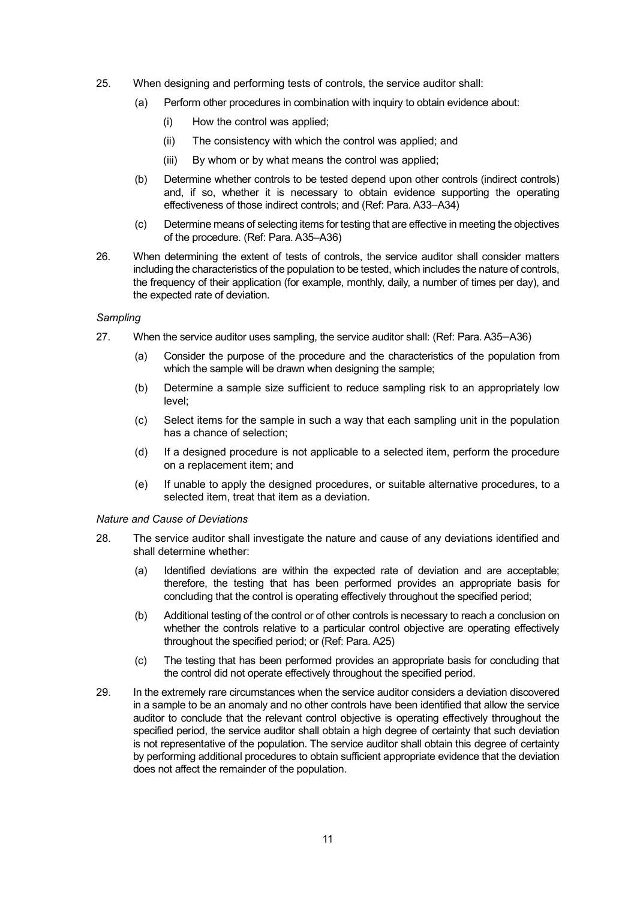- 25. When designing and performing tests of controls, the service auditor shall:
	- (a) Perform other procedures in combination with inquiry to obtain evidence about:
		- (i) How the control was applied;
		- (ii) The consistency with which the control was applied; and
		- (iii) By whom or by what means the control was applied;
	- (b) Determine whether controls to be tested depend upon other controls (indirect controls) and, if so, whether it is necessary to obtain evidence supporting the operating effectiveness of those indirect controls; and (Ref: Para. A33–A34)
	- (c) Determine means of selecting items for testing that are effective in meeting the objectives of the procedure. (Ref: Para. A35–A36)
- 26. When determining the extent of tests of controls, the service auditor shall consider matters including the characteristics of the population to be tested, which includes the nature of controls, the frequency of their application (for example, monthly, daily, a number of times per day), and the expected rate of deviation.

#### *Sampling*

- 27. When the service auditor uses sampling, the service auditor shall: (Ref: Para. A35–A36)
	- (a) Consider the purpose of the procedure and the characteristics of the population from which the sample will be drawn when designing the sample;
	- (b) Determine a sample size sufficient to reduce sampling risk to an appropriately low level;
	- (c) Select items for the sample in such a way that each sampling unit in the population has a chance of selection;
	- (d) If a designed procedure is not applicable to a selected item, perform the procedure on a replacement item; and
	- (e) If unable to apply the designed procedures, or suitable alternative procedures, to a selected item, treat that item as a deviation.

#### *Nature and Cause of Deviations*

- 28. The service auditor shall investigate the nature and cause of any deviations identified and shall determine whether:
	- (a) Identified deviations are within the expected rate of deviation and are acceptable; therefore, the testing that has been performed provides an appropriate basis for concluding that the control is operating effectively throughout the specified period;
	- (b) Additional testing of the control or of other controls is necessary to reach a conclusion on whether the controls relative to a particular control objective are operating effectively throughout the specified period; or (Ref: Para. A25)
	- (c) The testing that has been performed provides an appropriate basis for concluding that the control did not operate effectively throughout the specified period.
- 29. In the extremely rare circumstances when the service auditor considers a deviation discovered in a sample to be an anomaly and no other controls have been identified that allow the service auditor to conclude that the relevant control objective is operating effectively throughout the specified period, the service auditor shall obtain a high degree of certainty that such deviation is not representative of the population. The service auditor shall obtain this degree of certainty by performing additional procedures to obtain sufficient appropriate evidence that the deviation does not affect the remainder of the population.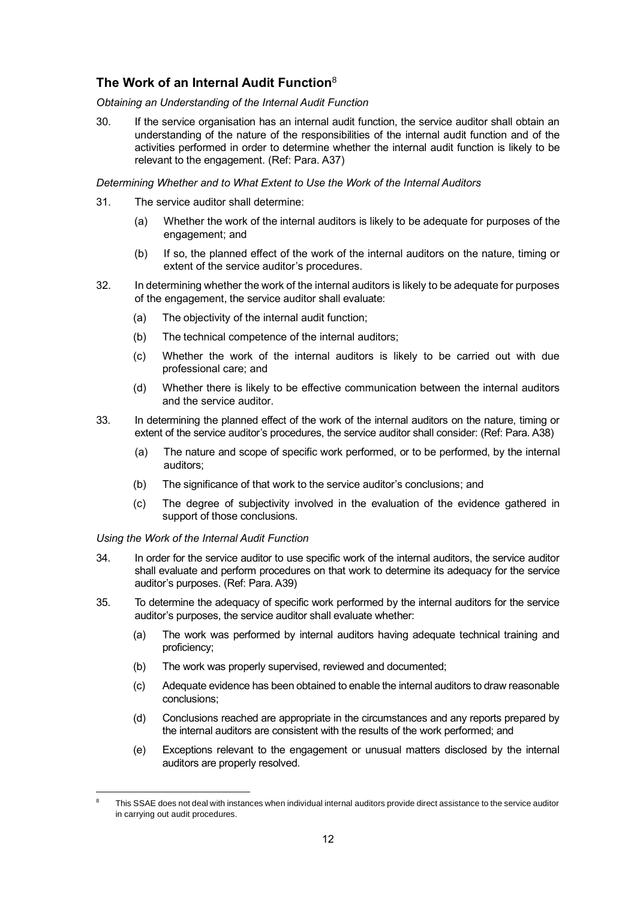## **The Work of an Internal Audit Function**<sup>8</sup>

## *Obtaining an Understanding of the Internal Audit Function*

30. If the service organisation has an internal audit function, the service auditor shall obtain an understanding of the nature of the responsibilities of the internal audit function and of the activities performed in order to determine whether the internal audit function is likely to be relevant to the engagement. (Ref: Para. A37)

## *Determining Whether and to What Extent to Use the Work of the Internal Auditors*

- 31. The service auditor shall determine:
	- (a) Whether the work of the internal auditors is likely to be adequate for purposes of the engagement; and
	- (b) If so, the planned effect of the work of the internal auditors on the nature, timing or extent of the service auditor's procedures.
- 32. In determining whether the work of the internal auditors is likely to be adequate for purposes of the engagement, the service auditor shall evaluate:
	- (a) The objectivity of the internal audit function;
	- (b) The technical competence of the internal auditors;
	- (c) Whether the work of the internal auditors is likely to be carried out with due professional care; and
	- (d) Whether there is likely to be effective communication between the internal auditors and the service auditor.
- 33. In determining the planned effect of the work of the internal auditors on the nature, timing or extent of the service auditor's procedures, the service auditor shall consider: (Ref: Para. A38)
	- (a) The nature and scope of specific work performed, or to be performed, by the internal auditors;
	- (b) The significance of that work to the service auditor's conclusions; and
	- (c) The degree of subjectivity involved in the evaluation of the evidence gathered in support of those conclusions.

*Using the Work of the Internal Audit Function* 

- 34. In order for the service auditor to use specific work of the internal auditors, the service auditor shall evaluate and perform procedures on that work to determine its adequacy for the service auditor's purposes. (Ref: Para. A39)
- 35. To determine the adequacy of specific work performed by the internal auditors for the service auditor's purposes, the service auditor shall evaluate whether:
	- (a) The work was performed by internal auditors having adequate technical training and proficiency;
	- (b) The work was properly supervised, reviewed and documented;
	- (c) Adequate evidence has been obtained to enable the internal auditors to draw reasonable conclusions;
	- (d) Conclusions reached are appropriate in the circumstances and any reports prepared by the internal auditors are consistent with the results of the work performed; and
	- (e) Exceptions relevant to the engagement or unusual matters disclosed by the internal auditors are properly resolved.

<sup>&</sup>lt;sup>8</sup> This SSAE does not deal with instances when individual internal auditors provide direct assistance to the service auditor in carrying out audit procedures.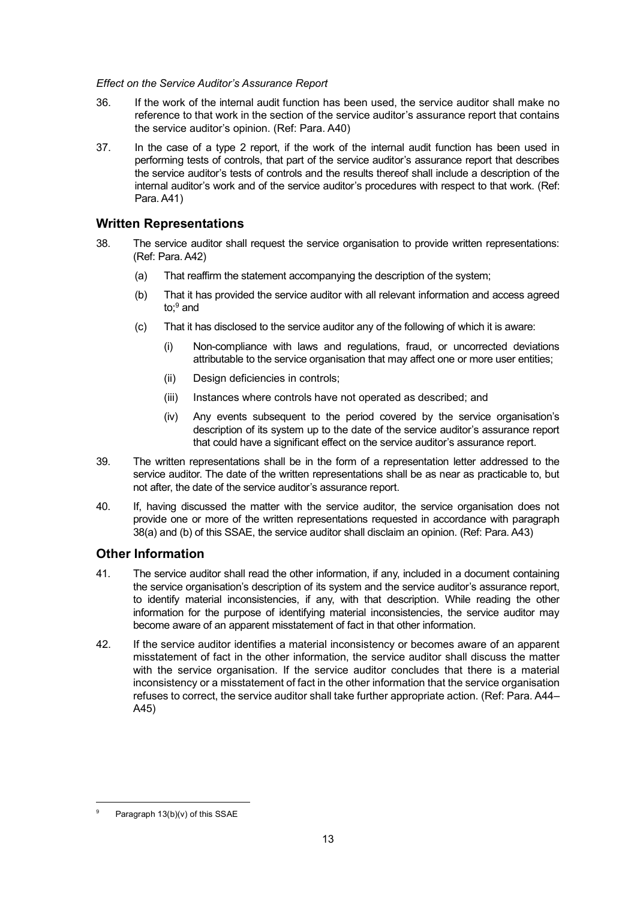## *Effect on the Service Auditor's Assurance Report*

- 36. If the work of the internal audit function has been used, the service auditor shall make no reference to that work in the section of the service auditor's assurance report that contains the service auditor's opinion. (Ref: Para. A40)
- 37. In the case of a type 2 report, if the work of the internal audit function has been used in performing tests of controls, that part of the service auditor's assurance report that describes the service auditor's tests of controls and the results thereof shall include a description of the internal auditor's work and of the service auditor's procedures with respect to that work. (Ref: Para. A41)

## **Written Representations**

- 38. The service auditor shall request the service organisation to provide written representations: (Ref: Para. A42)
	- (a) That reaffirm the statement accompanying the description of the system;
	- (b) That it has provided the service auditor with all relevant information and access agreed to: $9$  and
	- (c) That it has disclosed to the service auditor any of the following of which it is aware:
		- (i) Non-compliance with laws and regulations, fraud, or uncorrected deviations attributable to the service organisation that may affect one or more user entities;
		- (ii) Design deficiencies in controls;
		- (iii) Instances where controls have not operated as described; and
		- (iv) Any events subsequent to the period covered by the service organisation's description of its system up to the date of the service auditor's assurance report that could have a significant effect on the service auditor's assurance report.
- 39. The written representations shall be in the form of a representation letter addressed to the service auditor. The date of the written representations shall be as near as practicable to, but not after, the date of the service auditor's assurance report.
- 40. If, having discussed the matter with the service auditor, the service organisation does not provide one or more of the written representations requested in accordance with paragraph 38(a) and (b) of this SSAE, the service auditor shall disclaim an opinion. (Ref: Para. A43)

## **Other Information**

- 41. The service auditor shall read the other information, if any, included in a document containing the service organisation's description of its system and the service auditor's assurance report, to identify material inconsistencies, if any, with that description. While reading the other information for the purpose of identifying material inconsistencies, the service auditor may become aware of an apparent misstatement of fact in that other information.
- 42. If the service auditor identifies a material inconsistency or becomes aware of an apparent misstatement of fact in the other information, the service auditor shall discuss the matter with the service organisation. If the service auditor concludes that there is a material inconsistency or a misstatement of fact in the other information that the service organisation refuses to correct, the service auditor shall take further appropriate action. (Ref: Para. A44– A45)

Paragraph 13(b)(v) of this SSAE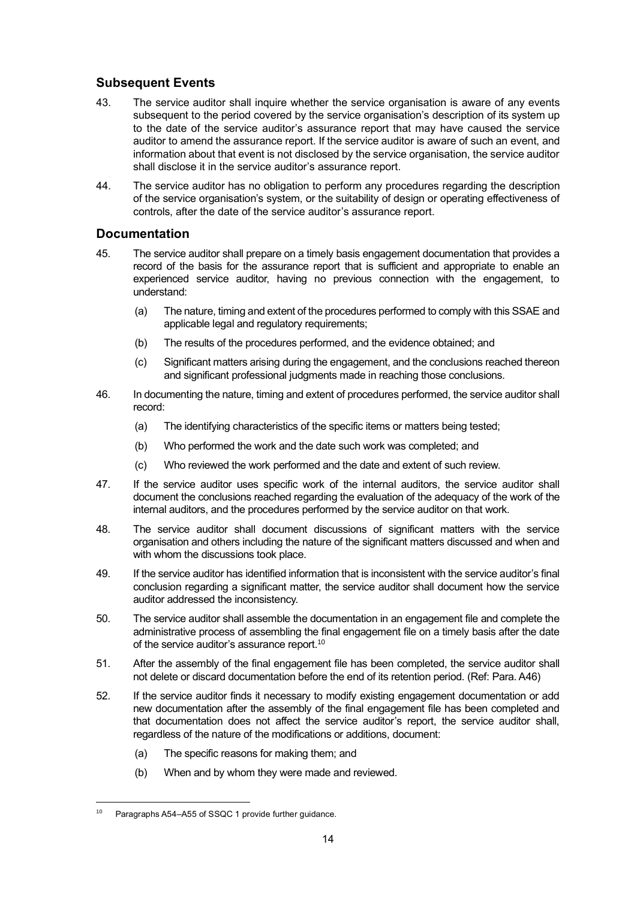## **Subsequent Events**

- 43. The service auditor shall inquire whether the service organisation is aware of any events subsequent to the period covered by the service organisation's description of its system up to the date of the service auditor's assurance report that may have caused the service auditor to amend the assurance report. If the service auditor is aware of such an event, and information about that event is not disclosed by the service organisation, the service auditor shall disclose it in the service auditor's assurance report.
- 44. The service auditor has no obligation to perform any procedures regarding the description of the service organisation's system, or the suitability of design or operating effectiveness of controls, after the date of the service auditor's assurance report.

## **Documentation**

- 45. The service auditor shall prepare on a timely basis engagement documentation that provides a record of the basis for the assurance report that is sufficient and appropriate to enable an experienced service auditor, having no previous connection with the engagement, to understand:
	- (a) The nature, timing and extent of the procedures performed to comply with this SSAE and applicable legal and regulatory requirements;
	- (b) The results of the procedures performed, and the evidence obtained; and
	- (c) Significant matters arising during the engagement, and the conclusions reached thereon and significant professional judgments made in reaching those conclusions.
- 46. In documenting the nature, timing and extent of procedures performed, the service auditor shall record:
	- (a) The identifying characteristics of the specific items or matters being tested;
	- (b) Who performed the work and the date such work was completed; and
	- (c) Who reviewed the work performed and the date and extent of such review.
- 47. If the service auditor uses specific work of the internal auditors, the service auditor shall document the conclusions reached regarding the evaluation of the adequacy of the work of the internal auditors, and the procedures performed by the service auditor on that work.
- 48. The service auditor shall document discussions of significant matters with the service organisation and others including the nature of the significant matters discussed and when and with whom the discussions took place.
- 49. If the service auditor has identified information that is inconsistent with the service auditor's final conclusion regarding a significant matter, the service auditor shall document how the service auditor addressed the inconsistency.
- 50. The service auditor shall assemble the documentation in an engagement file and complete the administrative process of assembling the final engagement file on a timely basis after the date of the service auditor's assurance report.<sup>10</sup>
- 51. After the assembly of the final engagement file has been completed, the service auditor shall not delete or discard documentation before the end of its retention period. (Ref: Para. A46)
- 52. If the service auditor finds it necessary to modify existing engagement documentation or add new documentation after the assembly of the final engagement file has been completed and that documentation does not affect the service auditor's report, the service auditor shall, regardless of the nature of the modifications or additions, document:
	- (a) The specific reasons for making them; and
	- (b) When and by whom they were made and reviewed.

<sup>10</sup> Paragraphs A54–A55 of SSQC 1 provide further guidance.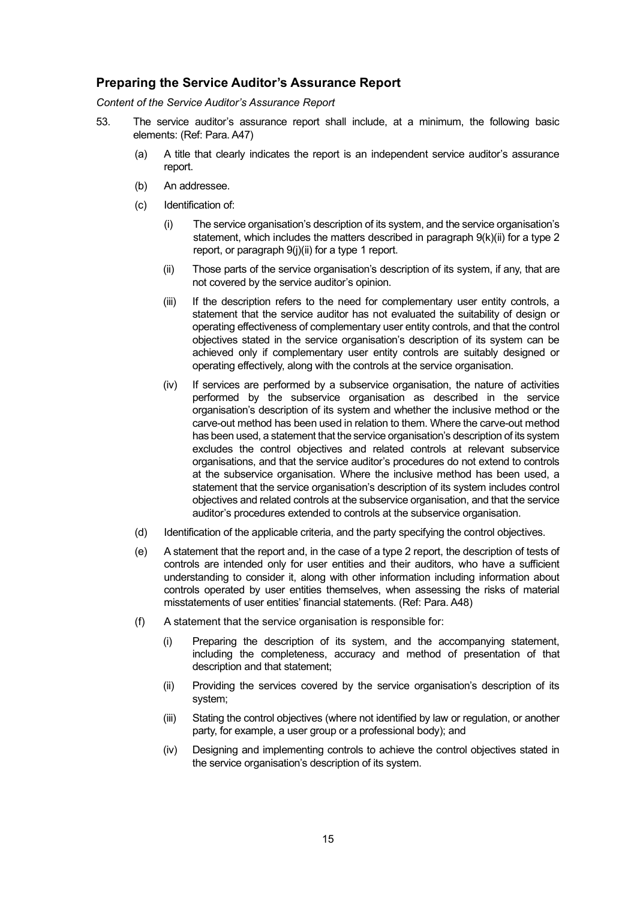## **Preparing the Service Auditor's Assurance Report**

*Content of the Service Auditor's Assurance Report*

- 53. The service auditor's assurance report shall include, at a minimum, the following basic elements: (Ref: Para. A47)
	- (a) A title that clearly indicates the report is an independent service auditor's assurance report.
	- (b) An addressee.
	- (c) Identification of:
		- (i) The service organisation's description of its system, and the service organisation's statement, which includes the matters described in paragraph 9(k)(ii) for a type 2 report, or paragraph 9(j)(ii) for a type 1 report.
		- (ii) Those parts of the service organisation's description of its system, if any, that are not covered by the service auditor's opinion.
		- (iii) If the description refers to the need for complementary user entity controls, a statement that the service auditor has not evaluated the suitability of design or operating effectiveness of complementary user entity controls, and that the control objectives stated in the service organisation's description of its system can be achieved only if complementary user entity controls are suitably designed or operating effectively, along with the controls at the service organisation.
		- (iv) If services are performed by a subservice organisation, the nature of activities performed by the subservice organisation as described in the service organisation's description of its system and whether the inclusive method or the carve-out method has been used in relation to them. Where the carve-out method has been used, a statement that the service organisation's description of its system excludes the control objectives and related controls at relevant subservice organisations, and that the service auditor's procedures do not extend to controls at the subservice organisation. Where the inclusive method has been used, a statement that the service organisation's description of its system includes control objectives and related controls at the subservice organisation, and that the service auditor's procedures extended to controls at the subservice organisation.
	- (d) Identification of the applicable criteria, and the party specifying the control objectives.
	- (e) A statement that the report and, in the case of a type 2 report, the description of tests of controls are intended only for user entities and their auditors, who have a sufficient understanding to consider it, along with other information including information about controls operated by user entities themselves, when assessing the risks of material misstatements of user entities' financial statements. (Ref: Para. A48)
	- (f) A statement that the service organisation is responsible for:
		- (i) Preparing the description of its system, and the accompanying statement, including the completeness, accuracy and method of presentation of that description and that statement;
		- (ii) Providing the services covered by the service organisation's description of its system;
		- (iii) Stating the control objectives (where not identified by law or regulation, or another party, for example, a user group or a professional body); and
		- (iv) Designing and implementing controls to achieve the control objectives stated in the service organisation's description of its system.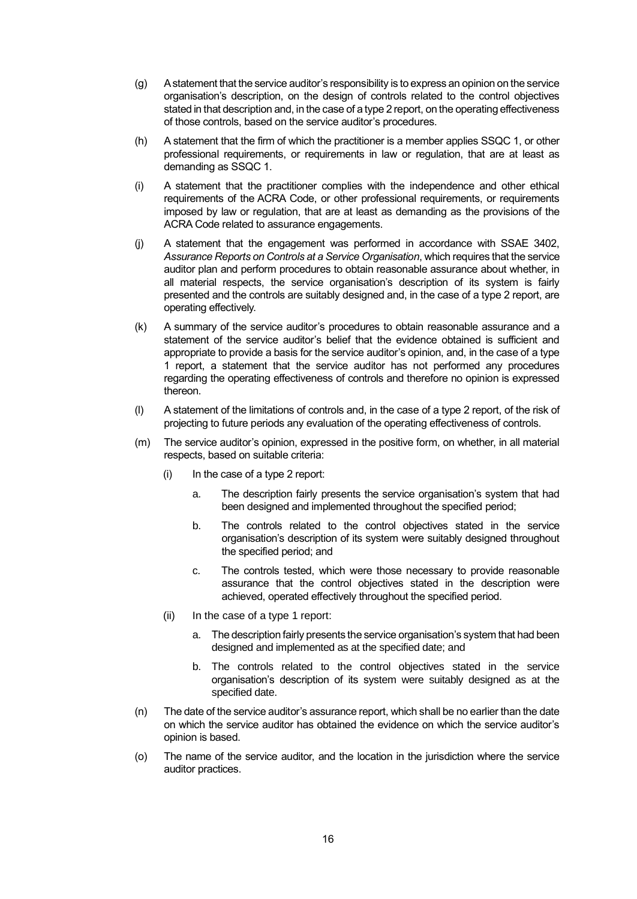- (g) A statement that the service auditor's responsibility is to express an opinion on the service organisation's description, on the design of controls related to the control objectives stated in that description and, in the case of a type 2 report, on the operating effectiveness of those controls, based on the service auditor's procedures.
- (h) A statement that the firm of which the practitioner is a member applies SSQC 1, or other professional requirements, or requirements in law or regulation, that are at least as demanding as SSQC 1.
- (i) A statement that the practitioner complies with the independence and other ethical requirements of the ACRA Code, or other professional requirements, or requirements imposed by law or regulation, that are at least as demanding as the provisions of the ACRA Code related to assurance engagements.
- (j) A statement that the engagement was performed in accordance with SSAE 3402, *Assurance Reports on Controls at a Service Organisation*, which requires that the service auditor plan and perform procedures to obtain reasonable assurance about whether, in all material respects, the service organisation's description of its system is fairly presented and the controls are suitably designed and, in the case of a type 2 report, are operating effectively.
- (k) A summary of the service auditor's procedures to obtain reasonable assurance and a statement of the service auditor's belief that the evidence obtained is sufficient and appropriate to provide a basis for the service auditor's opinion, and, in the case of a type 1 report, a statement that the service auditor has not performed any procedures regarding the operating effectiveness of controls and therefore no opinion is expressed thereon.
- (l) A statement of the limitations of controls and, in the case of a type 2 report, of the risk of projecting to future periods any evaluation of the operating effectiveness of controls.
- (m) The service auditor's opinion, expressed in the positive form, on whether, in all material respects, based on suitable criteria:
	- $(i)$  In the case of a type 2 report:
		- a. The description fairly presents the service organisation's system that had been designed and implemented throughout the specified period;
		- b. The controls related to the control objectives stated in the service organisation's description of its system were suitably designed throughout the specified period; and
		- c. The controls tested, which were those necessary to provide reasonable assurance that the control objectives stated in the description were achieved, operated effectively throughout the specified period.
	- (ii) In the case of a type 1 report:
		- a. The description fairly presents the service organisation's system that had been designed and implemented as at the specified date; and
		- b. The controls related to the control objectives stated in the service organisation's description of its system were suitably designed as at the specified date.
- (n) The date of the service auditor's assurance report, which shall be no earlier than the date on which the service auditor has obtained the evidence on which the service auditor's opinion is based.
- (o) The name of the service auditor, and the location in the jurisdiction where the service auditor practices.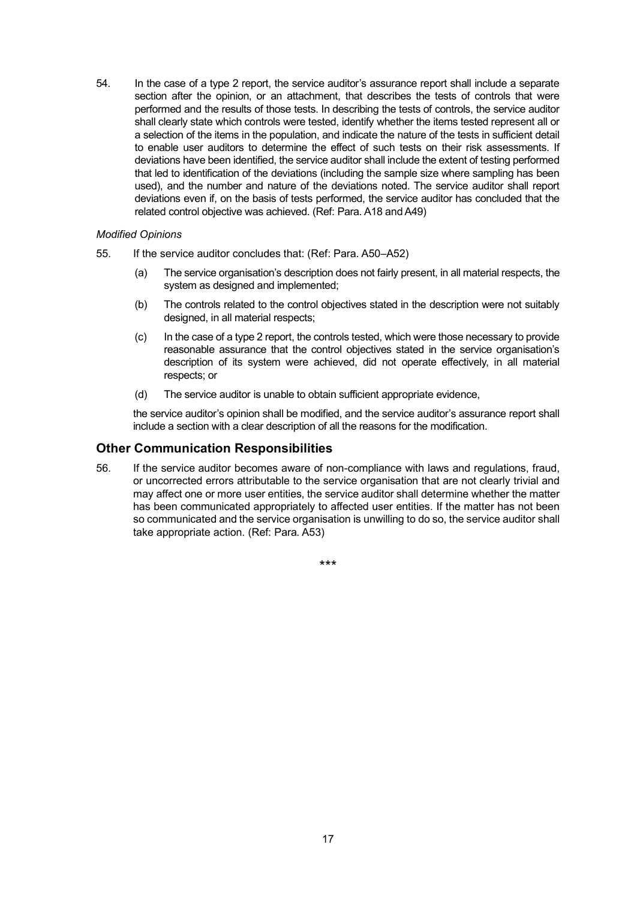54. In the case of a type 2 report, the service auditor's assurance report shall include a separate section after the opinion, or an attachment, that describes the tests of controls that were performed and the results of those tests. In describing the tests of controls, the service auditor shall clearly state which controls were tested, identify whether the items tested represent all or a selection of the items in the population, and indicate the nature of the tests in sufficient detail to enable user auditors to determine the effect of such tests on their risk assessments. If deviations have been identified, the service auditor shall include the extent of testing performed that led to identification of the deviations (including the sample size where sampling has been used), and the number and nature of the deviations noted. The service auditor shall report deviations even if, on the basis of tests performed, the service auditor has concluded that the related control objective was achieved. (Ref: Para. A18 and A49)

#### *Modified Opinions*

- 55. If the service auditor concludes that: (Ref: Para. A50–A52)
	- (a) The service organisation's description does not fairly present, in all material respects, the system as designed and implemented;
	- (b) The controls related to the control objectives stated in the description were not suitably designed, in all material respects;
	- (c) In the case of a type 2 report, the controls tested, which were those necessary to provide reasonable assurance that the control objectives stated in the service organisation's description of its system were achieved, did not operate effectively, in all material respects; or
	- (d) The service auditor is unable to obtain sufficient appropriate evidence,

the service auditor's opinion shall be modified, and the service auditor's assurance report shall include a section with a clear description of all the reasons for the modification.

## **Other Communication Responsibilities**

56. If the service auditor becomes aware of non-compliance with laws and regulations, fraud, or uncorrected errors attributable to the service organisation that are not clearly trivial and may affect one or more user entities, the service auditor shall determine whether the matter has been communicated appropriately to affected user entities. If the matter has not been so communicated and the service organisation is unwilling to do so, the service auditor shall take appropriate action. (Ref: Para. A53)

\*\*\*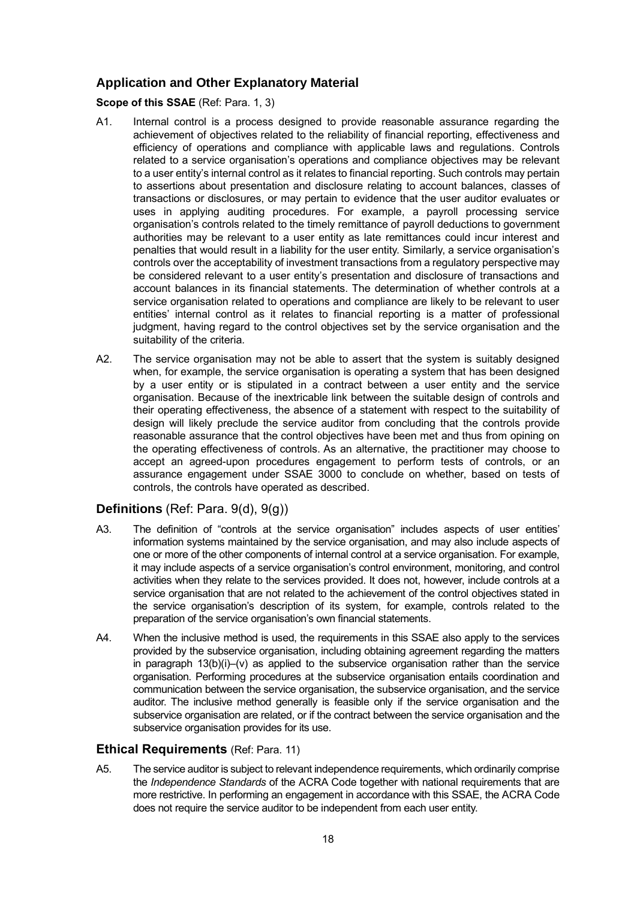## **Application and Other Explanatory Material**

**Scope of this SSAE** (Ref: Para. 1, 3)

- A1. Internal control is a process designed to provide reasonable assurance regarding the achievement of objectives related to the reliability of financial reporting, effectiveness and efficiency of operations and compliance with applicable laws and regulations. Controls related to a service organisation's operations and compliance objectives may be relevant to a user entity's internal control as it relates to financial reporting. Such controls may pertain to assertions about presentation and disclosure relating to account balances, classes of transactions or disclosures, or may pertain to evidence that the user auditor evaluates or uses in applying auditing procedures. For example, a payroll processing service organisation's controls related to the timely remittance of payroll deductions to government authorities may be relevant to a user entity as late remittances could incur interest and penalties that would result in a liability for the user entity. Similarly, a service organisation's controls over the acceptability of investment transactions from a regulatory perspective may be considered relevant to a user entity's presentation and disclosure of transactions and account balances in its financial statements. The determination of whether controls at a service organisation related to operations and compliance are likely to be relevant to user entities' internal control as it relates to financial reporting is a matter of professional judgment, having regard to the control objectives set by the service organisation and the suitability of the criteria*.*
- A2. The service organisation may not be able to assert that the system is suitably designed when, for example, the service organisation is operating a system that has been designed by a user entity or is stipulated in a contract between a user entity and the service organisation. Because of the inextricable link between the suitable design of controls and their operating effectiveness, the absence of a statement with respect to the suitability of design will likely preclude the service auditor from concluding that the controls provide reasonable assurance that the control objectives have been met and thus from opining on the operating effectiveness of controls. As an alternative, the practitioner may choose to accept an agreed-upon procedures engagement to perform tests of controls, or an assurance engagement under SSAE 3000 to conclude on whether, based on tests of controls, the controls have operated as described.

## **Definitions** (Ref: Para. 9(d), 9(g))

- A3. The definition of "controls at the service organisation" includes aspects of user entities' information systems maintained by the service organisation, and may also include aspects of one or more of the other components of internal control at a service organisation. For example, it may include aspects of a service organisation's control environment, monitoring, and control activities when they relate to the services provided. It does not, however, include controls at a service organisation that are not related to the achievement of the control objectives stated in the service organisation's description of its system, for example, controls related to the preparation of the service organisation's own financial statements.
- A4. When the inclusive method is used, the requirements in this SSAE also apply to the services provided by the subservice organisation, including obtaining agreement regarding the matters in paragraph  $13(b)(i)-(v)$  as applied to the subservice organisation rather than the service organisation. Performing procedures at the subservice organisation entails coordination and communication between the service organisation, the subservice organisation, and the service auditor. The inclusive method generally is feasible only if the service organisation and the subservice organisation are related, or if the contract between the service organisation and the subservice organisation provides for its use.

## **Ethical Requirements** (Ref: Para. 11)

A5. The service auditor is subject to relevant independence requirements, which ordinarily comprise the *Independence Standards* of the ACRA Code together with national requirements that are more restrictive. In performing an engagement in accordance with this SSAE, the ACRA Code does not require the service auditor to be independent from each user entity.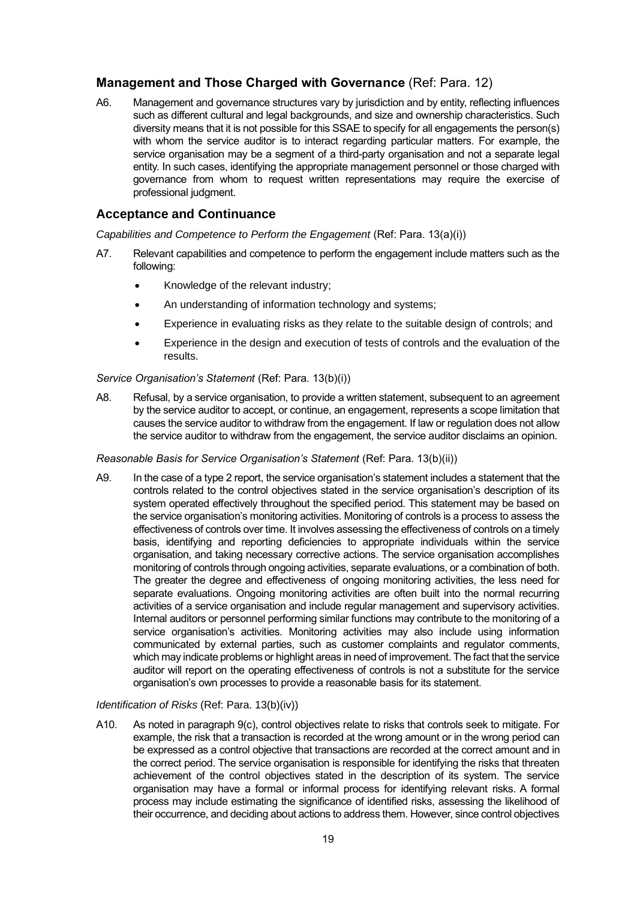## **Management and Those Charged with Governance** (Ref: Para. 12)

A6. Management and governance structures vary by jurisdiction and by entity, reflecting influences such as different cultural and legal backgrounds, and size and ownership characteristics. Such diversity means that it is not possible for this SSAE to specify for all engagements the person(s) with whom the service auditor is to interact regarding particular matters. For example, the service organisation may be a segment of a third-party organisation and not a separate legal entity. In such cases, identifying the appropriate management personnel or those charged with governance from whom to request written representations may require the exercise of professional judgment.

## **Acceptance and Continuance**

*Capabilities and Competence to Perform the Engagement* (Ref: Para. 13(a)(i))

- A7. Relevant capabilities and competence to perform the engagement include matters such as the following:
	- Knowledge of the relevant industry;
	- An understanding of information technology and systems;
	- Experience in evaluating risks as they relate to the suitable design of controls; and
	- Experience in the design and execution of tests of controls and the evaluation of the results.

## *Service Organisation's Statement* (Ref: Para. 13(b)(i))

A8. Refusal, by a service organisation, to provide a written statement, subsequent to an agreement by the service auditor to accept, or continue, an engagement, represents a scope limitation that causes the service auditor to withdraw from the engagement. If law or regulation does not allow the service auditor to withdraw from the engagement, the service auditor disclaims an opinion.

#### *Reasonable Basis for Service Organisation's Statement* (Ref: Para. 13(b)(ii))

A9. In the case of a type 2 report, the service organisation's statement includes a statement that the controls related to the control objectives stated in the service organisation's description of its system operated effectively throughout the specified period. This statement may be based on the service organisation's monitoring activities. Monitoring of controls is a process to assess the effectiveness of controls over time. It involves assessing the effectiveness of controls on a timely basis, identifying and reporting deficiencies to appropriate individuals within the service organisation, and taking necessary corrective actions. The service organisation accomplishes monitoring of controls through ongoing activities, separate evaluations, or a combination of both. The greater the degree and effectiveness of ongoing monitoring activities, the less need for separate evaluations. Ongoing monitoring activities are often built into the normal recurring activities of a service organisation and include regular management and supervisory activities. Internal auditors or personnel performing similar functions may contribute to the monitoring of a service organisation's activities. Monitoring activities may also include using information communicated by external parties, such as customer complaints and regulator comments, which may indicate problems or highlight areas in need of improvement. The fact that the service auditor will report on the operating effectiveness of controls is not a substitute for the service organisation's own processes to provide a reasonable basis for its statement.

#### *Identification of Risks* (Ref: Para. 13(b)(iv))

A10. As noted in paragraph 9(c), control objectives relate to risks that controls seek to mitigate. For example, the risk that a transaction is recorded at the wrong amount or in the wrong period can be expressed as a control objective that transactions are recorded at the correct amount and in the correct period. The service organisation is responsible for identifying the risks that threaten achievement of the control objectives stated in the description of its system. The service organisation may have a formal or informal process for identifying relevant risks. A formal process may include estimating the significance of identified risks, assessing the likelihood of their occurrence, and deciding about actions to address them. However, since control objectives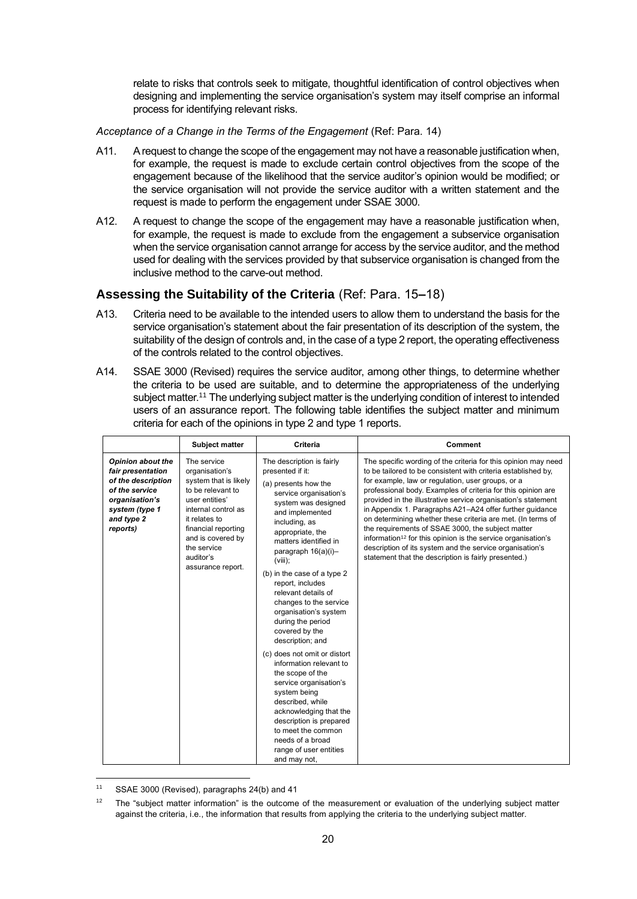relate to risks that controls seek to mitigate, thoughtful identification of control objectives when designing and implementing the service organisation's system may itself comprise an informal process for identifying relevant risks.

*Acceptance of a Change in the Terms of the Engagement* (Ref: Para. 14)

- A11. A request to change the scope of the engagement may not have a reasonable justification when, for example, the request is made to exclude certain control objectives from the scope of the engagement because of the likelihood that the service auditor's opinion would be modified; or the service organisation will not provide the service auditor with a written statement and the request is made to perform the engagement under SSAE 3000.
- A12. A request to change the scope of the engagement may have a reasonable justification when, for example, the request is made to exclude from the engagement a subservice organisation when the service organisation cannot arrange for access by the service auditor, and the method used for dealing with the services provided by that subservice organisation is changed from the inclusive method to the carve-out method.

## **Assessing the Suitability of the Criteria** (Ref: Para. 15**–**18)

- A13. Criteria need to be available to the intended users to allow them to understand the basis for the service organisation's statement about the fair presentation of its description of the system, the suitability of the design of controls and, in the case of a type 2 report, the operating effectiveness of the controls related to the control objectives.
- A14. SSAE 3000 (Revised) requires the service auditor, among other things, to determine whether the criteria to be used are suitable, and to determine the appropriateness of the underlying subject matter.<sup>11</sup> The underlying subject matter is the underlying condition of interest to intended users of an assurance report. The following table identifies the subject matter and minimum criteria for each of the opinions in type 2 and type 1 reports.

|                                                                                                                                                     | <b>Subject matter</b>                                                                                                                                                                                                              | Criteria                                                                                                                                                                                                                                                                                                                                                                                                                             | <b>Comment</b>                                                                                                                                                                                                                                                                                                                                                                                                                                                                                                                                                                                                                                                                                        |
|-----------------------------------------------------------------------------------------------------------------------------------------------------|------------------------------------------------------------------------------------------------------------------------------------------------------------------------------------------------------------------------------------|--------------------------------------------------------------------------------------------------------------------------------------------------------------------------------------------------------------------------------------------------------------------------------------------------------------------------------------------------------------------------------------------------------------------------------------|-------------------------------------------------------------------------------------------------------------------------------------------------------------------------------------------------------------------------------------------------------------------------------------------------------------------------------------------------------------------------------------------------------------------------------------------------------------------------------------------------------------------------------------------------------------------------------------------------------------------------------------------------------------------------------------------------------|
| <b>Opinion about the</b><br>fair presentation<br>of the description<br>of the service<br>organisation's<br>system (type 1<br>and type 2<br>reports) | The service<br>organisation's<br>system that is likely<br>to be relevant to<br>user entities'<br>internal control as<br>it relates to<br>financial reporting<br>and is covered by<br>the service<br>auditor's<br>assurance report. | The description is fairly<br>presented if it:<br>(a) presents how the<br>service organisation's<br>system was designed<br>and implemented<br>including, as<br>appropriate, the<br>matters identified in<br>paragraph 16(a)(i)-<br>$(viii)$ ;<br>(b) in the case of a type 2<br>report, includes<br>relevant details of<br>changes to the service<br>organisation's system<br>during the period<br>covered by the<br>description; and | The specific wording of the criteria for this opinion may need<br>to be tailored to be consistent with criteria established by,<br>for example, law or regulation, user groups, or a<br>professional body. Examples of criteria for this opinion are<br>provided in the illustrative service organisation's statement<br>in Appendix 1. Paragraphs A21-A24 offer further guidance<br>on determining whether these criteria are met. (In terms of<br>the requirements of SSAE 3000, the subject matter<br>information <sup>12</sup> for this opinion is the service organisation's<br>description of its system and the service organisation's<br>statement that the description is fairly presented.) |
|                                                                                                                                                     |                                                                                                                                                                                                                                    | (c) does not omit or distort<br>information relevant to<br>the scope of the<br>service organisation's<br>system being<br>described, while<br>acknowledging that the<br>description is prepared<br>to meet the common<br>needs of a broad<br>range of user entities<br>and may not,                                                                                                                                                   |                                                                                                                                                                                                                                                                                                                                                                                                                                                                                                                                                                                                                                                                                                       |

<sup>11</sup> SSAE 3000 (Revised), paragraphs 24(b) and 41

<sup>&</sup>lt;sup>12</sup> The "subject matter information" is the outcome of the measurement or evaluation of the underlying subject matter against the criteria, i.e., the information that results from applying the criteria to the underlying subject matter.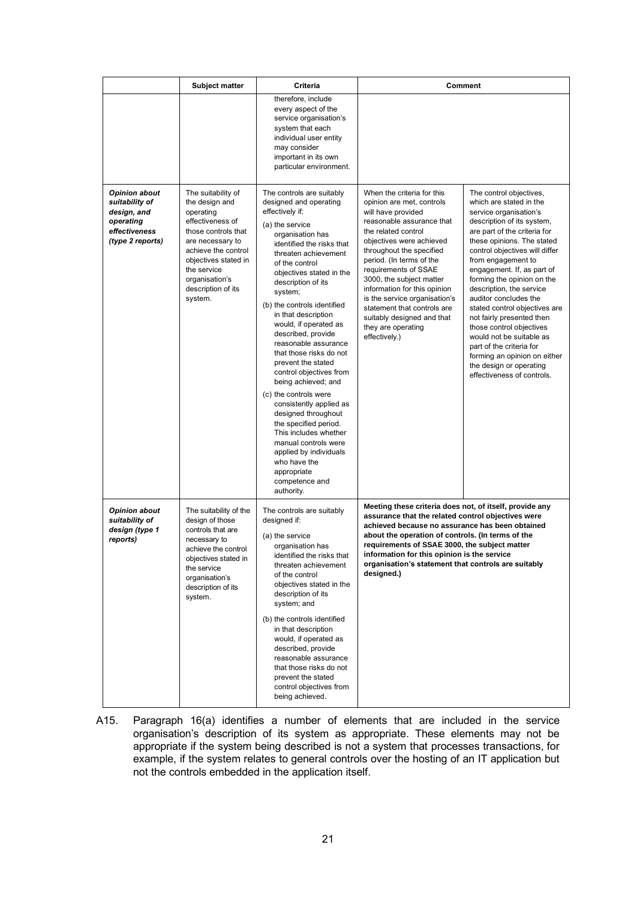|                                                                                                         | <b>Subject matter</b>                                                                                                                                                                                                             | Criteria                                                                                                                                                                                                                                                                                                                                                                                                                                                                                                                                                                                                                                                                                                                        | Comment                                                                                                                                                                                                                                                                                                                                                                                                                                        |                                                                                                                                                                                                                                                                                                                                                                                                                                                                                                                                                                                              |
|---------------------------------------------------------------------------------------------------------|-----------------------------------------------------------------------------------------------------------------------------------------------------------------------------------------------------------------------------------|---------------------------------------------------------------------------------------------------------------------------------------------------------------------------------------------------------------------------------------------------------------------------------------------------------------------------------------------------------------------------------------------------------------------------------------------------------------------------------------------------------------------------------------------------------------------------------------------------------------------------------------------------------------------------------------------------------------------------------|------------------------------------------------------------------------------------------------------------------------------------------------------------------------------------------------------------------------------------------------------------------------------------------------------------------------------------------------------------------------------------------------------------------------------------------------|----------------------------------------------------------------------------------------------------------------------------------------------------------------------------------------------------------------------------------------------------------------------------------------------------------------------------------------------------------------------------------------------------------------------------------------------------------------------------------------------------------------------------------------------------------------------------------------------|
|                                                                                                         |                                                                                                                                                                                                                                   | therefore, include<br>every aspect of the<br>service organisation's<br>system that each<br>individual user entity<br>may consider<br>important in its own<br>particular environment.                                                                                                                                                                                                                                                                                                                                                                                                                                                                                                                                            |                                                                                                                                                                                                                                                                                                                                                                                                                                                |                                                                                                                                                                                                                                                                                                                                                                                                                                                                                                                                                                                              |
| <b>Opinion about</b><br>suitability of<br>design, and<br>operating<br>effectiveness<br>(type 2 reports) | The suitability of<br>the design and<br>operating<br>effectiveness of<br>those controls that<br>are necessary to<br>achieve the control<br>objectives stated in<br>the service<br>organisation's<br>description of its<br>system. | The controls are suitably<br>designed and operating<br>effectively if:<br>(a) the service<br>organisation has<br>identified the risks that<br>threaten achievement<br>of the control<br>objectives stated in the<br>description of its<br>system;<br>(b) the controls identified<br>in that description<br>would, if operated as<br>described, provide<br>reasonable assurance<br>that those risks do not<br>prevent the stated<br>control objectives from<br>being achieved; and<br>(c) the controls were<br>consistently applied as<br>designed throughout<br>the specified period.<br>This includes whether<br>manual controls were<br>applied by individuals<br>who have the<br>appropriate<br>competence and<br>authority. | When the criteria for this<br>opinion are met, controls<br>will have provided<br>reasonable assurance that<br>the related control<br>objectives were achieved<br>throughout the specified<br>period. (In terms of the<br>requirements of SSAE<br>3000, the subject matter<br>information for this opinion<br>is the service organisation's<br>statement that controls are<br>suitably designed and that<br>they are operating<br>effectively.) | The control objectives,<br>which are stated in the<br>service organisation's<br>description of its system,<br>are part of the criteria for<br>these opinions. The stated<br>control objectives will differ<br>from engagement to<br>engagement. If, as part of<br>forming the opinion on the<br>description, the service<br>auditor concludes the<br>stated control objectives are<br>not fairly presented then<br>those control objectives<br>would not be suitable as<br>part of the criteria for<br>forming an opinion on either<br>the design or operating<br>effectiveness of controls. |
| <b>Opinion about</b><br>suitability of<br>design (type 1<br>reports)                                    | The suitability of the<br>design of those<br>controls that are<br>necessary to<br>achieve the control<br>objectives stated in<br>the service<br>organisation's<br>description of its<br>system.                                   | The controls are suitably<br>designed if:<br>(a) the service<br>organisation has<br>identified the risks that<br>threaten achievement<br>of the control<br>objectives stated in the<br>description of its<br>system; and<br>(b) the controls identified<br>in that description<br>would, if operated as<br>described, provide<br>reasonable assurance<br>that those risks do not<br>prevent the stated<br>control objectives from<br>being achieved.                                                                                                                                                                                                                                                                            | Meeting these criteria does not, of itself, provide any<br>assurance that the related control objectives were<br>achieved because no assurance has been obtained<br>about the operation of controls. (In terms of the<br>requirements of SSAE 3000, the subject matter<br>information for this opinion is the service<br>organisation's statement that controls are suitably<br>designed.)                                                     |                                                                                                                                                                                                                                                                                                                                                                                                                                                                                                                                                                                              |

A15. Paragraph 16(a) identifies a number of elements that are included in the service organisation's description of its system as appropriate. These elements may not be appropriate if the system being described is not a system that processes transactions, for example, if the system relates to general controls over the hosting of an IT application but not the controls embedded in the application itself.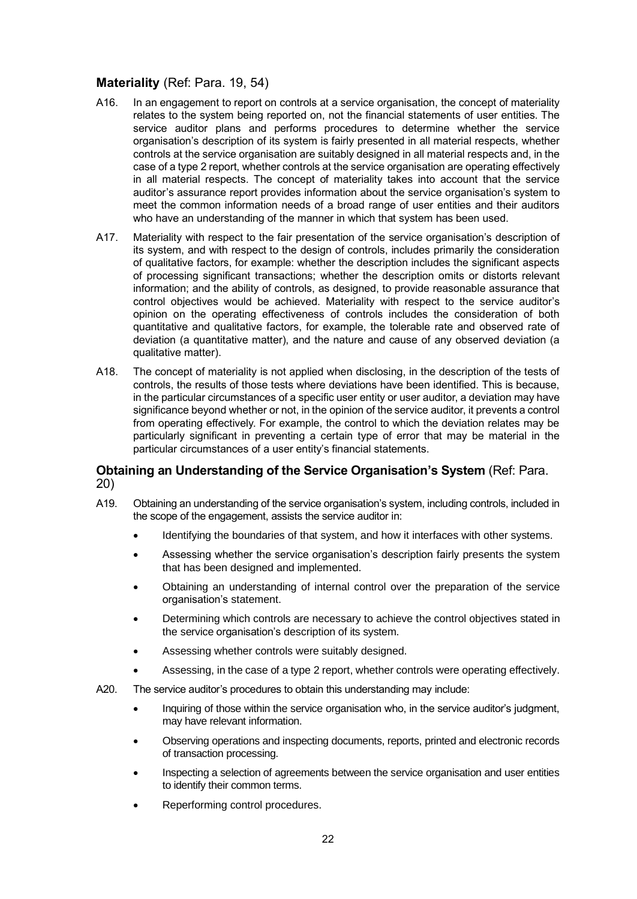## **Materiality** (Ref: Para. 19, 54)

- A16. In an engagement to report on controls at a service organisation, the concept of materiality relates to the system being reported on, not the financial statements of user entities. The service auditor plans and performs procedures to determine whether the service organisation's description of its system is fairly presented in all material respects, whether controls at the service organisation are suitably designed in all material respects and, in the case of a type 2 report, whether controls at the service organisation are operating effectively in all material respects. The concept of materiality takes into account that the service auditor's assurance report provides information about the service organisation's system to meet the common information needs of a broad range of user entities and their auditors who have an understanding of the manner in which that system has been used.
- A17. Materiality with respect to the fair presentation of the service organisation's description of its system, and with respect to the design of controls, includes primarily the consideration of qualitative factors, for example: whether the description includes the significant aspects of processing significant transactions; whether the description omits or distorts relevant information; and the ability of controls, as designed, to provide reasonable assurance that control objectives would be achieved. Materiality with respect to the service auditor's opinion on the operating effectiveness of controls includes the consideration of both quantitative and qualitative factors, for example, the tolerable rate and observed rate of deviation (a quantitative matter), and the nature and cause of any observed deviation (a qualitative matter).
- A18. The concept of materiality is not applied when disclosing, in the description of the tests of controls, the results of those tests where deviations have been identified. This is because, in the particular circumstances of a specific user entity or user auditor, a deviation may have significance beyond whether or not, in the opinion of the service auditor, it prevents a control from operating effectively. For example, the control to which the deviation relates may be particularly significant in preventing a certain type of error that may be material in the particular circumstances of a user entity's financial statements.

## **Obtaining an Understanding of the Service Organisation's System** (Ref: Para. 20)

- A19. Obtaining an understanding of the service organisation's system, including controls, included in the scope of the engagement, assists the service auditor in:
	- Identifying the boundaries of that system, and how it interfaces with other systems.
	- Assessing whether the service organisation's description fairly presents the system that has been designed and implemented.
	- Obtaining an understanding of internal control over the preparation of the service organisation's statement.
	- Determining which controls are necessary to achieve the control objectives stated in the service organisation's description of its system.
	- Assessing whether controls were suitably designed.
	- Assessing, in the case of a type 2 report, whether controls were operating effectively.
- A20. The service auditor's procedures to obtain this understanding may include:
	- Inquiring of those within the service organisation who, in the service auditor's judgment, may have relevant information.
	- Observing operations and inspecting documents, reports, printed and electronic records of transaction processing.
	- Inspecting a selection of agreements between the service organisation and user entities to identify their common terms.
	- Reperforming control procedures.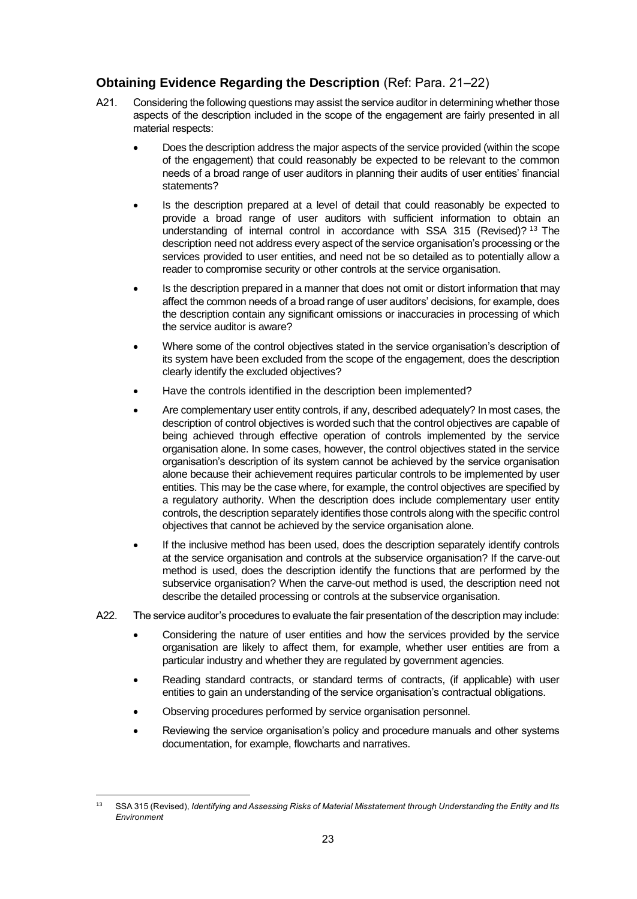## **Obtaining Evidence Regarding the Description** (Ref: Para. 21–22)

- A21. Considering the following questions may assist the service auditor in determining whether those aspects of the description included in the scope of the engagement are fairly presented in all material respects:
	- Does the description address the major aspects of the service provided (within the scope of the engagement) that could reasonably be expected to be relevant to the common needs of a broad range of user auditors in planning their audits of user entities' financial statements?
	- Is the description prepared at a level of detail that could reasonably be expected to provide a broad range of user auditors with sufficient information to obtain an understanding of internal control in accordance with SSA 315 (Revised)? <sup>13</sup> The description need not address every aspect of the service organisation's processing or the services provided to user entities, and need not be so detailed as to potentially allow a reader to compromise security or other controls at the service organisation.
	- Is the description prepared in a manner that does not omit or distort information that may affect the common needs of a broad range of user auditors' decisions, for example, does the description contain any significant omissions or inaccuracies in processing of which the service auditor is aware?
	- Where some of the control objectives stated in the service organisation's description of its system have been excluded from the scope of the engagement, does the description clearly identify the excluded objectives?
	- Have the controls identified in the description been implemented?
	- Are complementary user entity controls, if any, described adequately? In most cases, the description of control objectives is worded such that the control objectives are capable of being achieved through effective operation of controls implemented by the service organisation alone. In some cases, however, the control objectives stated in the service organisation's description of its system cannot be achieved by the service organisation alone because their achievement requires particular controls to be implemented by user entities. This may be the case where, for example, the control objectives are specified by a regulatory authority. When the description does include complementary user entity controls, the description separately identifies those controls along with the specific control objectives that cannot be achieved by the service organisation alone.
	- If the inclusive method has been used, does the description separately identify controls at the service organisation and controls at the subservice organisation? If the carve-out method is used, does the description identify the functions that are performed by the subservice organisation? When the carve-out method is used, the description need not describe the detailed processing or controls at the subservice organisation.
- A22. The service auditor's procedures to evaluate the fair presentation of the description may include:
	- Considering the nature of user entities and how the services provided by the service organisation are likely to affect them, for example, whether user entities are from a particular industry and whether they are regulated by government agencies.
	- Reading standard contracts, or standard terms of contracts, (if applicable) with user entities to gain an understanding of the service organisation's contractual obligations.
	- Observing procedures performed by service organisation personnel.
	- Reviewing the service organisation's policy and procedure manuals and other systems documentation, for example, flowcharts and narratives.

<sup>13</sup> SSA 315 (Revised), *Identifying and Assessing Risks of Material Misstatement through Understanding the Entity and Its Environment*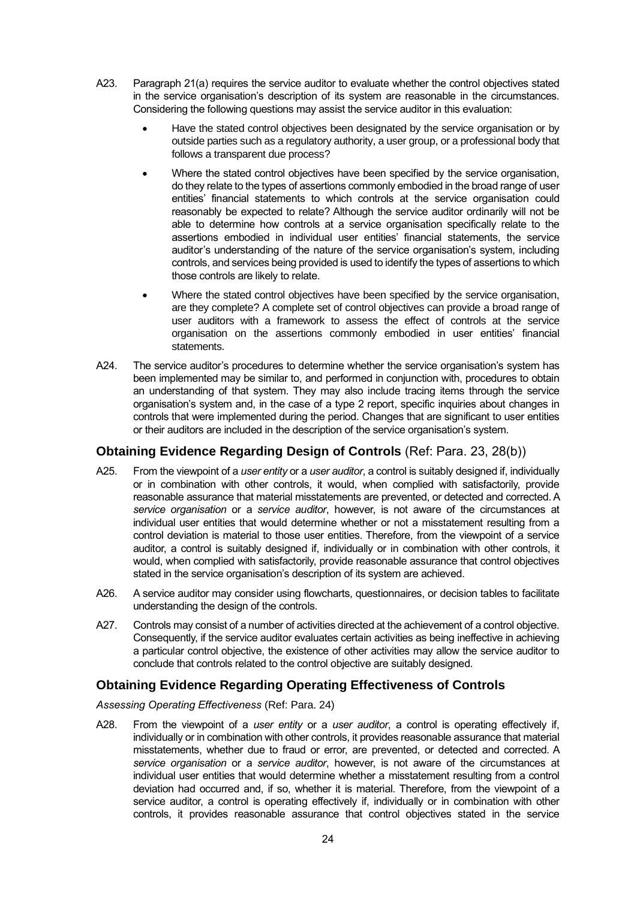- A23. Paragraph 21(a) requires the service auditor to evaluate whether the control objectives stated in the service organisation's description of its system are reasonable in the circumstances. Considering the following questions may assist the service auditor in this evaluation:
	- Have the stated control objectives been designated by the service organisation or by outside parties such as a regulatory authority, a user group, or a professional body that follows a transparent due process?
	- Where the stated control objectives have been specified by the service organisation, do they relate to the types of assertions commonly embodied in the broad range of user entities' financial statements to which controls at the service organisation could reasonably be expected to relate? Although the service auditor ordinarily will not be able to determine how controls at a service organisation specifically relate to the assertions embodied in individual user entities' financial statements, the service auditor's understanding of the nature of the service organisation's system, including controls, and services being provided is used to identify the types of assertions to which those controls are likely to relate.
	- Where the stated control objectives have been specified by the service organisation, are they complete? A complete set of control objectives can provide a broad range of user auditors with a framework to assess the effect of controls at the service organisation on the assertions commonly embodied in user entities' financial statements.
- A24. The service auditor's procedures to determine whether the service organisation's system has been implemented may be similar to, and performed in conjunction with, procedures to obtain an understanding of that system. They may also include tracing items through the service organisation's system and, in the case of a type 2 report, specific inquiries about changes in controls that were implemented during the period. Changes that are significant to user entities or their auditors are included in the description of the service organisation's system.

## **Obtaining Evidence Regarding Design of Controls** (Ref: Para. 23, 28(b))

- A25. From the viewpoint of a *user entity* or a *user auditor*, a control is suitably designed if, individually or in combination with other controls, it would, when complied with satisfactorily, provide reasonable assurance that material misstatements are prevented, or detected and corrected. A *service organisation* or a *service auditor*, however, is not aware of the circumstances at individual user entities that would determine whether or not a misstatement resulting from a control deviation is material to those user entities. Therefore, from the viewpoint of a service auditor, a control is suitably designed if, individually or in combination with other controls, it would, when complied with satisfactorily, provide reasonable assurance that control objectives stated in the service organisation's description of its system are achieved.
- A26. A service auditor may consider using flowcharts, questionnaires, or decision tables to facilitate understanding the design of the controls.
- A27. Controls may consist of a number of activities directed at the achievement of a control objective. Consequently, if the service auditor evaluates certain activities as being ineffective in achieving a particular control objective, the existence of other activities may allow the service auditor to conclude that controls related to the control objective are suitably designed.

## **Obtaining Evidence Regarding Operating Effectiveness of Controls**

## *Assessing Operating Effectiveness* (Ref: Para. 24)

A28. From the viewpoint of a *user entity* or a *user auditor*, a control is operating effectively if, individually or in combination with other controls, it provides reasonable assurance that material misstatements, whether due to fraud or error, are prevented, or detected and corrected. A *service organisation* or a *service auditor*, however, is not aware of the circumstances at individual user entities that would determine whether a misstatement resulting from a control deviation had occurred and, if so, whether it is material. Therefore, from the viewpoint of a service auditor, a control is operating effectively if, individually or in combination with other controls, it provides reasonable assurance that control objectives stated in the service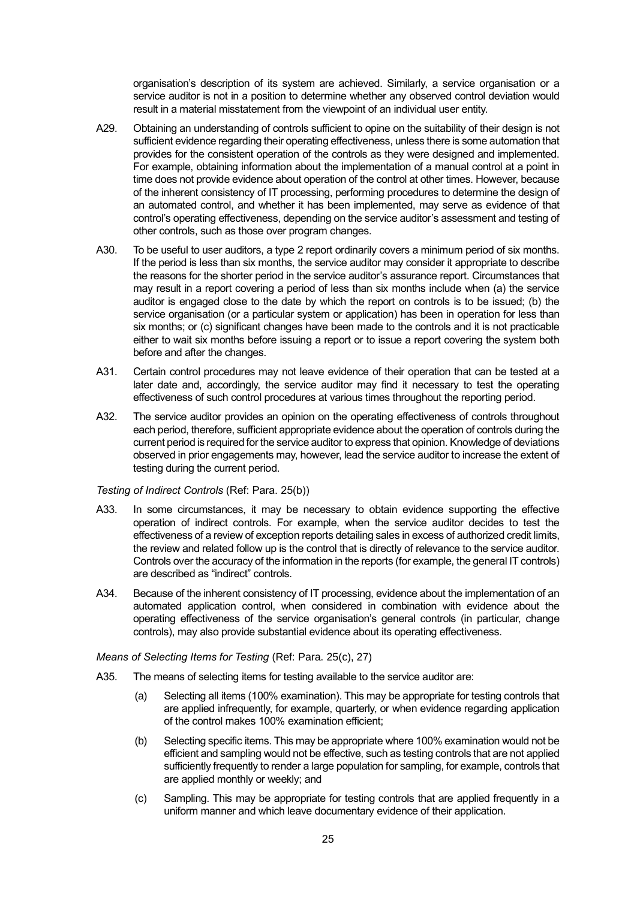organisation's description of its system are achieved. Similarly, a service organisation or a service auditor is not in a position to determine whether any observed control deviation would result in a material misstatement from the viewpoint of an individual user entity.

- A29. Obtaining an understanding of controls sufficient to opine on the suitability of their design is not sufficient evidence regarding their operating effectiveness, unless there is some automation that provides for the consistent operation of the controls as they were designed and implemented. For example, obtaining information about the implementation of a manual control at a point in time does not provide evidence about operation of the control at other times. However, because of the inherent consistency of IT processing, performing procedures to determine the design of an automated control, and whether it has been implemented, may serve as evidence of that control's operating effectiveness, depending on the service auditor's assessment and testing of other controls, such as those over program changes.
- A30. To be useful to user auditors, a type 2 report ordinarily covers a minimum period of six months. If the period is less than six months, the service auditor may consider it appropriate to describe the reasons for the shorter period in the service auditor's assurance report. Circumstances that may result in a report covering a period of less than six months include when (a) the service auditor is engaged close to the date by which the report on controls is to be issued; (b) the service organisation (or a particular system or application) has been in operation for less than six months; or (c) significant changes have been made to the controls and it is not practicable either to wait six months before issuing a report or to issue a report covering the system both before and after the changes.
- A31. Certain control procedures may not leave evidence of their operation that can be tested at a later date and, accordingly, the service auditor may find it necessary to test the operating effectiveness of such control procedures at various times throughout the reporting period.
- A32. The service auditor provides an opinion on the operating effectiveness of controls throughout each period, therefore, sufficient appropriate evidence about the operation of controls during the current period is required for the service auditor to express that opinion. Knowledge of deviations observed in prior engagements may, however, lead the service auditor to increase the extent of testing during the current period.

#### *Testing of Indirect Controls* (Ref: Para. 25(b))

- A33. In some circumstances, it may be necessary to obtain evidence supporting the effective operation of indirect controls. For example, when the service auditor decides to test the effectiveness of a review of exception reports detailing sales in excess of authorized credit limits, the review and related follow up is the control that is directly of relevance to the service auditor. Controls over the accuracy of the information in the reports (for example, the general IT controls) are described as "indirect" controls.
- A34. Because of the inherent consistency of IT processing, evidence about the implementation of an automated application control, when considered in combination with evidence about the operating effectiveness of the service organisation's general controls (in particular, change controls), may also provide substantial evidence about its operating effectiveness.

#### *Means of Selecting Items for Testing* (Ref: Para. 25(c), 27)

- A35. The means of selecting items for testing available to the service auditor are:
	- (a) Selecting all items (100% examination). This may be appropriate for testing controls that are applied infrequently, for example, quarterly, or when evidence regarding application of the control makes 100% examination efficient;
	- (b) Selecting specific items. This may be appropriate where 100% examination would not be efficient and sampling would not be effective, such as testing controls that are not applied sufficiently frequently to render a large population for sampling, for example, controls that are applied monthly or weekly; and
	- (c) Sampling. This may be appropriate for testing controls that are applied frequently in a uniform manner and which leave documentary evidence of their application.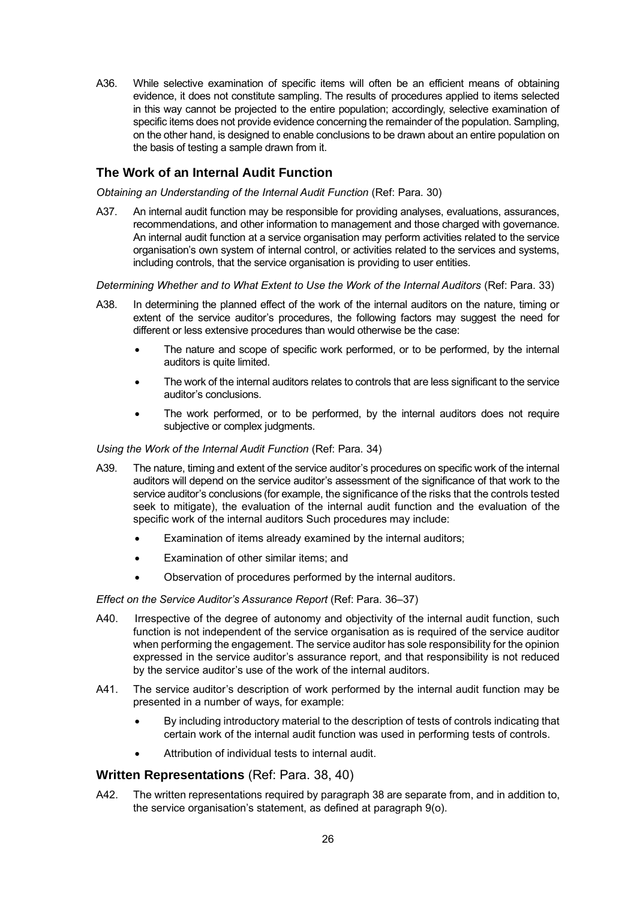A36. While selective examination of specific items will often be an efficient means of obtaining evidence, it does not constitute sampling. The results of procedures applied to items selected in this way cannot be projected to the entire population; accordingly, selective examination of specific items does not provide evidence concerning the remainder of the population. Sampling, on the other hand, is designed to enable conclusions to be drawn about an entire population on the basis of testing a sample drawn from it.

## **The Work of an Internal Audit Function**

*Obtaining an Understanding of the Internal Audit Function* (Ref: Para. 30)

A37. An internal audit function may be responsible for providing analyses, evaluations, assurances, recommendations, and other information to management and those charged with governance. An internal audit function at a service organisation may perform activities related to the service organisation's own system of internal control, or activities related to the services and systems, including controls, that the service organisation is providing to user entities.

*Determining Whether and to What Extent to Use the Work of the Internal Auditors* (Ref: Para. 33)

- A38. In determining the planned effect of the work of the internal auditors on the nature, timing or extent of the service auditor's procedures, the following factors may suggest the need for different or less extensive procedures than would otherwise be the case:
	- The nature and scope of specific work performed, or to be performed, by the internal auditors is quite limited.
	- The work of the internal auditors relates to controls that are less significant to the service auditor's conclusions.
	- The work performed, or to be performed, by the internal auditors does not require subjective or complex judgments.

#### *Using the Work of the Internal Audit Function* (Ref: Para. 34)

- A39. The nature, timing and extent of the service auditor's procedures on specific work of the internal auditors will depend on the service auditor's assessment of the significance of that work to the service auditor's conclusions (for example, the significance of the risks that the controls tested seek to mitigate), the evaluation of the internal audit function and the evaluation of the specific work of the internal auditors Such procedures may include:
	- Examination of items already examined by the internal auditors;
	- Examination of other similar items; and
	- Observation of procedures performed by the internal auditors.

#### *Effect on the Service Auditor's Assurance Report* (Ref: Para. 36–37)

- A40. Irrespective of the degree of autonomy and objectivity of the internal audit function, such function is not independent of the service organisation as is required of the service auditor when performing the engagement. The service auditor has sole responsibility for the opinion expressed in the service auditor's assurance report, and that responsibility is not reduced by the service auditor's use of the work of the internal auditors.
- A41. The service auditor's description of work performed by the internal audit function may be presented in a number of ways, for example:
	- By including introductory material to the description of tests of controls indicating that certain work of the internal audit function was used in performing tests of controls.
	- Attribution of individual tests to internal audit.

## **Written Representations** (Ref: Para. 38, 40)

A42. The written representations required by paragraph 38 are separate from, and in addition to, the service organisation's statement, as defined at paragraph 9(o).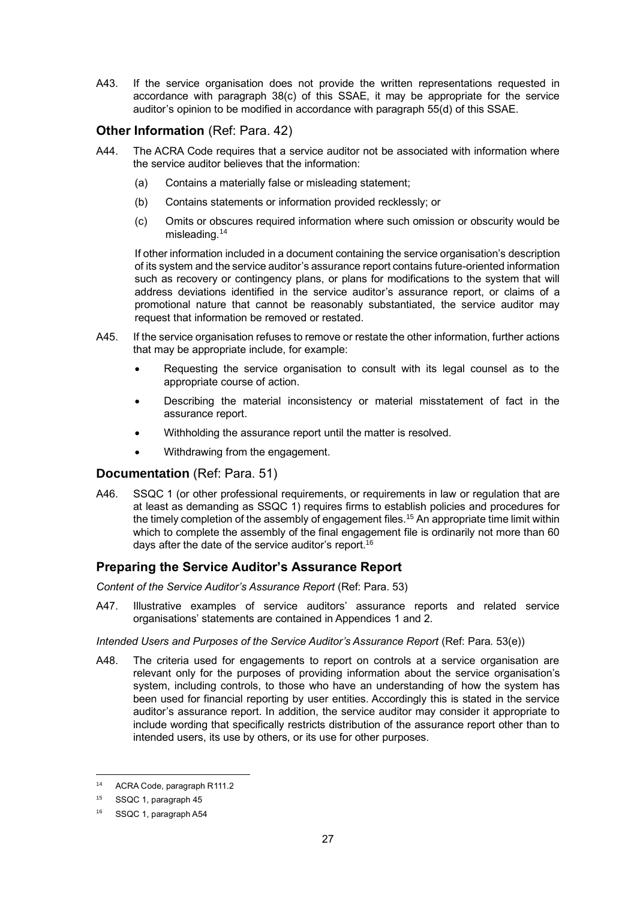A43. If the service organisation does not provide the written representations requested in accordance with paragraph 38(c) of this SSAE, it may be appropriate for the service auditor's opinion to be modified in accordance with paragraph 55(d) of this SSAE.

## **Other Information** (Ref: Para. 42)

- A44. The ACRA Code requires that a service auditor not be associated with information where the service auditor believes that the information:
	- (a) Contains a materially false or misleading statement;
	- (b) Contains statements or information provided recklessly; or
	- (c) Omits or obscures required information where such omission or obscurity would be misleading.<sup>14</sup>

If other information included in a document containing the service organisation's description of its system and the service auditor's assurance report contains future-oriented information such as recovery or contingency plans, or plans for modifications to the system that will address deviations identified in the service auditor's assurance report, or claims of a promotional nature that cannot be reasonably substantiated, the service auditor may request that information be removed or restated.

- A45. If the service organisation refuses to remove or restate the other information, further actions that may be appropriate include, for example:
	- Requesting the service organisation to consult with its legal counsel as to the appropriate course of action.
	- Describing the material inconsistency or material misstatement of fact in the assurance report.
	- Withholding the assurance report until the matter is resolved.
	- Withdrawing from the engagement.

## **Documentation** (Ref: Para. 51)

A46. SSQC 1 (or other professional requirements, or requirements in law or regulation that are at least as demanding as SSQC 1) requires firms to establish policies and procedures for the timely completion of the assembly of engagement files.<sup>15</sup> An appropriate time limit within which to complete the assembly of the final engagement file is ordinarily not more than 60 days after the date of the service auditor's report.<sup>16</sup>

## **Preparing the Service Auditor's Assurance Report**

*Content of the Service Auditor's Assurance Report (Ref: Para. 53)* 

A47. Illustrative examples of service auditors' assurance reports and related service organisations' statements are contained in Appendices 1 and 2.

## *Intended Users and Purposes of the Service Auditor's Assurance Report (Ref: Para. 53(e))*

A48. The criteria used for engagements to report on controls at a service organisation are relevant only for the purposes of providing information about the service organisation's system, including controls, to those who have an understanding of how the system has been used for financial reporting by user entities. Accordingly this is stated in the service auditor's assurance report. In addition, the service auditor may consider it appropriate to include wording that specifically restricts distribution of the assurance report other than to intended users, its use by others, or its use for other purposes.

<sup>14</sup> ACRA Code, paragraph R111.2

<sup>15</sup> SSQC 1, paragraph 45

<sup>16</sup> SSQC 1, paragraph A54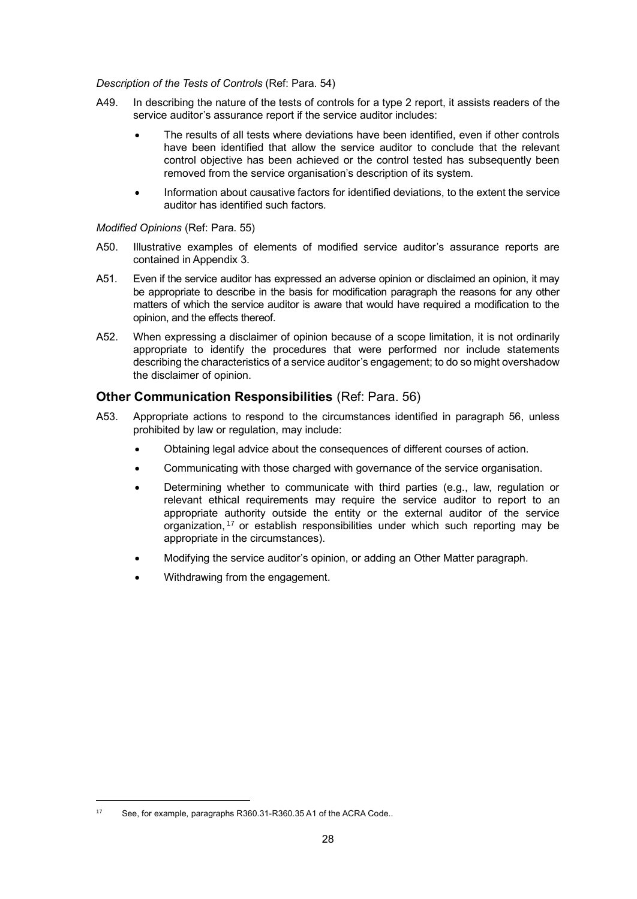*Description of the Tests of Controls* (Ref: Para. 54)

- A49. In describing the nature of the tests of controls for a type 2 report, it assists readers of the service auditor's assurance report if the service auditor includes:
	- The results of all tests where deviations have been identified, even if other controls have been identified that allow the service auditor to conclude that the relevant control objective has been achieved or the control tested has subsequently been removed from the service organisation's description of its system.
	- Information about causative factors for identified deviations, to the extent the service auditor has identified such factors.

#### *Modified Opinions* (Ref: Para. 55)

- A50. Illustrative examples of elements of modified service auditor's assurance reports are contained in Appendix 3.
- A51. Even if the service auditor has expressed an adverse opinion or disclaimed an opinion, it may be appropriate to describe in the basis for modification paragraph the reasons for any other matters of which the service auditor is aware that would have required a modification to the opinion, and the effects thereof.
- A52. When expressing a disclaimer of opinion because of a scope limitation, it is not ordinarily appropriate to identify the procedures that were performed nor include statements describing the characteristics of a service auditor's engagement; to do so might overshadow the disclaimer of opinion.

## **Other Communication Responsibilities** (Ref: Para. 56)

- A53. Appropriate actions to respond to the circumstances identified in paragraph 56, unless prohibited by law or regulation, may include:
	- Obtaining legal advice about the consequences of different courses of action.
	- Communicating with those charged with governance of the service organisation.
	- Determining whether to communicate with third parties (e.g., law, regulation or relevant ethical requirements may require the service auditor to report to an appropriate authority outside the entity or the external auditor of the service organization, <sup>17</sup> or establish responsibilities under which such reporting may be appropriate in the circumstances).
	- Modifying the service auditor's opinion, or adding an Other Matter paragraph.
	- Withdrawing from the engagement.

<sup>17</sup> See, for example, paragraphs R360.31-R360.35 A1 of the ACRA Code..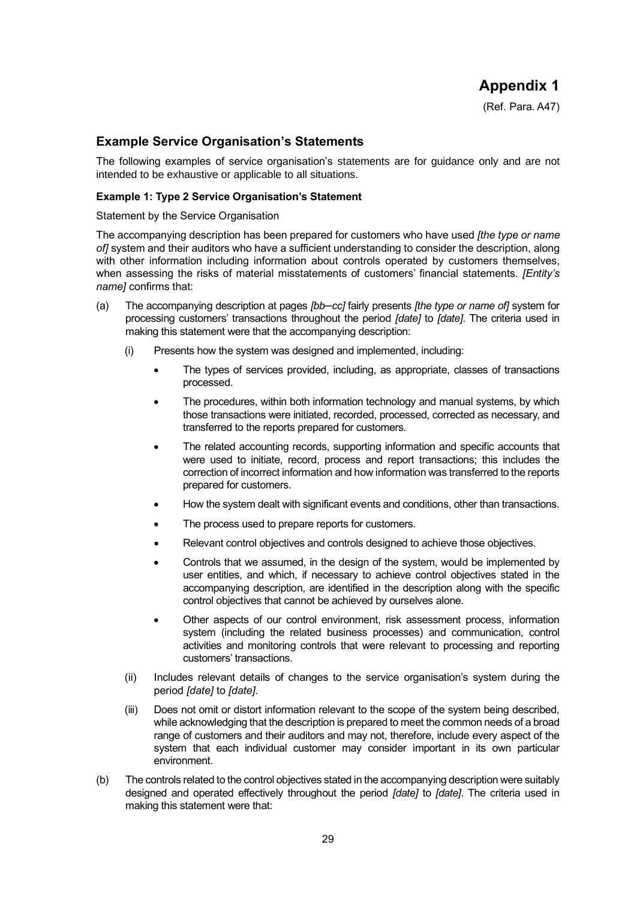(Ref. Para. A47)

## **Example Service Organisation's Statements**

The following examples of service organisation's statements are for guidance only and are not intended to be exhaustive or applicable to all situations.

## **Example 1: Type 2 Service Organisation's Statement**

#### Statement by the Service Organisation

The accompanying description has been prepared for customers who have used *[the type or name of]* system and their auditors who have a sufficient understanding to consider the description, along with other information including information about controls operated by customers themselves, when assessing the risks of material misstatements of customers' financial statements. *[Entity's name]* confirms that:

- (a) The accompanying description at pages *[bb–cc]* fairly presents *[the type or name of]* system for processing customers' transactions throughout the period *[date]* to *[date]*. The criteria used in making this statement were that the accompanying description:
	- (i) Presents how the system was designed and implemented, including:
		- The types of services provided, including, as appropriate, classes of transactions processed.
		- The procedures, within both information technology and manual systems, by which those transactions were initiated, recorded, processed, corrected as necessary, and transferred to the reports prepared for customers.
		- The related accounting records, supporting information and specific accounts that were used to initiate, record, process and report transactions; this includes the correction of incorrect information and how information was transferred to the reports prepared for customers.
		- How the system dealt with significant events and conditions, other than transactions.
		- The process used to prepare reports for customers.
		- Relevant control objectives and controls designed to achieve those objectives.
		- Controls that we assumed, in the design of the system, would be implemented by user entities, and which, if necessary to achieve control objectives stated in the accompanying description, are identified in the description along with the specific control objectives that cannot be achieved by ourselves alone.
		- Other aspects of our control environment, risk assessment process, information system (including the related business processes) and communication, control activities and monitoring controls that were relevant to processing and reporting customers' transactions.
	- (ii) Includes relevant details of changes to the service organisation's system during the period *[date]* to *[date]*.
	- (iii) Does not omit or distort information relevant to the scope of the system being described, while acknowledging that the description is prepared to meet the common needs of a broad range of customers and their auditors and may not, therefore, include every aspect of the system that each individual customer may consider important in its own particular environment.
- (b) The controls related to the control objectives stated in the accompanying description were suitably designed and operated effectively throughout the period *[date]* to *[date]*. The criteria used in making this statement were that: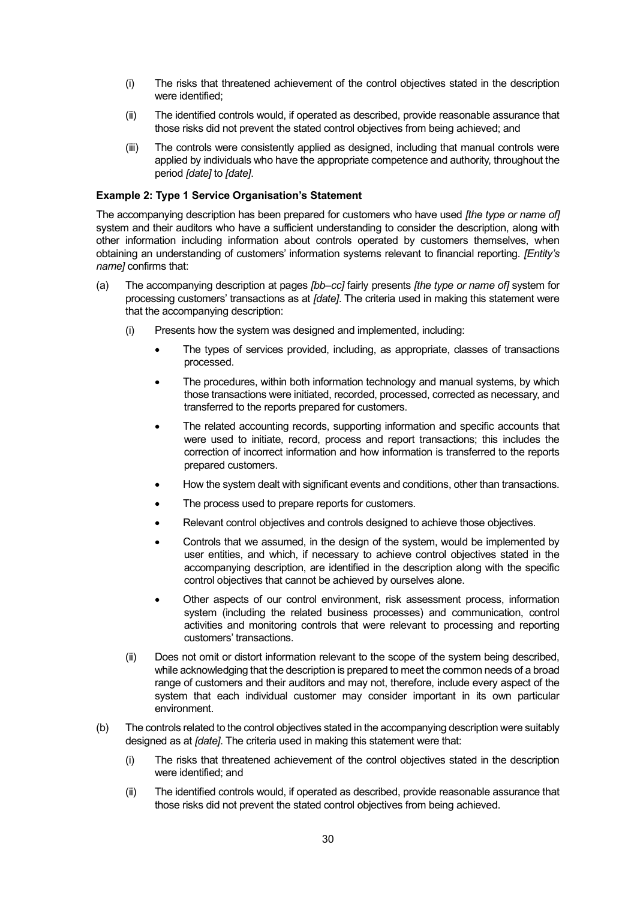- (i) The risks that threatened achievement of the control objectives stated in the description were identified;
- (ii) The identified controls would, if operated as described, provide reasonable assurance that those risks did not prevent the stated control objectives from being achieved; and
- (iii) The controls were consistently applied as designed, including that manual controls were applied by individuals who have the appropriate competence and authority, throughout the period *[date]* to *[date]*.

#### **Example 2: Type 1 Service Organisation's Statement**

The accompanying description has been prepared for customers who have used *[the type or name of]* system and their auditors who have a sufficient understanding to consider the description, along with other information including information about controls operated by customers themselves, when obtaining an understanding of customers' information systems relevant to financial reporting. *[Entity's name]* confirms that:

- (a) The accompanying description at pages *[bb–cc]* fairly presents *[the type or name of]* system for processing customers' transactions as at *[date]*. The criteria used in making this statement were that the accompanying description:
	- (i) Presents how the system was designed and implemented, including:
		- The types of services provided, including, as appropriate, classes of transactions processed.
		- The procedures, within both information technology and manual systems, by which those transactions were initiated, recorded, processed, corrected as necessary, and transferred to the reports prepared for customers.
		- The related accounting records, supporting information and specific accounts that were used to initiate, record, process and report transactions; this includes the correction of incorrect information and how information is transferred to the reports prepared customers.
		- How the system dealt with significant events and conditions, other than transactions.
		- The process used to prepare reports for customers.
		- Relevant control objectives and controls designed to achieve those objectives.
		- Controls that we assumed, in the design of the system, would be implemented by user entities, and which, if necessary to achieve control objectives stated in the accompanying description, are identified in the description along with the specific control objectives that cannot be achieved by ourselves alone.
		- Other aspects of our control environment, risk assessment process, information system (including the related business processes) and communication, control activities and monitoring controls that were relevant to processing and reporting customers' transactions.
	- (ii) Does not omit or distort information relevant to the scope of the system being described, while acknowledging that the description is prepared to meet the common needs of a broad range of customers and their auditors and may not, therefore, include every aspect of the system that each individual customer may consider important in its own particular environment.
- (b) The controls related to the control objectives stated in the accompanying description were suitably designed as at *[date]*. The criteria used in making this statement were that:
	- (i) The risks that threatened achievement of the control objectives stated in the description were identified; and
	- (ii) The identified controls would, if operated as described, provide reasonable assurance that those risks did not prevent the stated control objectives from being achieved.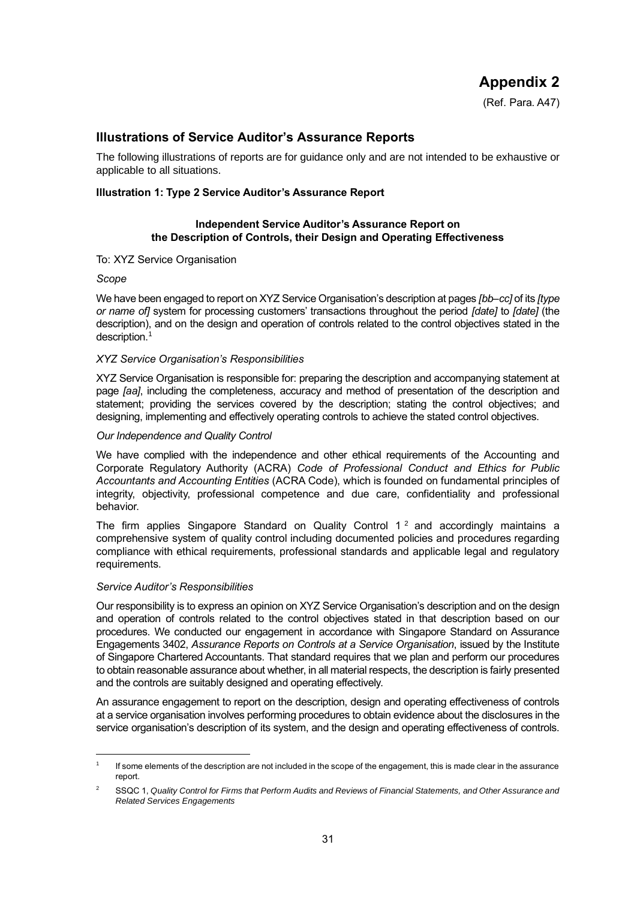# **Appendix 2**

(Ref. Para. A47)

## **Illustrations of Service Auditor's Assurance Reports**

The following illustrations of reports are for guidance only and are not intended to be exhaustive or applicable to all situations.

## **Illustration 1: Type 2 Service Auditor's Assurance Report**

#### **Independent Service Auditor's Assurance Report on the Description of Controls, their Design and Operating Effectiveness**

To: XYZ Service Organisation

#### *Scope*

We have been engaged to report on XYZ Service Organisation's description at pages *[bb*–*cc]* of its *[type or name of]* system for processing customers' transactions throughout the period *[date]* to *[date]* (the description), and on the design and operation of controls related to the control objectives stated in the description.<sup>1</sup>

#### *XYZ Service Organisation's Responsibilities*

XYZ Service Organisation is responsible for: preparing the description and accompanying statement at page *[aa]*, including the completeness, accuracy and method of presentation of the description and statement; providing the services covered by the description; stating the control objectives; and designing, implementing and effectively operating controls to achieve the stated control objectives.

#### *Our Independence and Quality Control*

We have complied with the independence and other ethical requirements of the Accounting and Corporate Regulatory Authority (ACRA) *Code of Professional Conduct and Ethics for Public Accountants and Accounting Entities* (ACRA Code), which is founded on fundamental principles of integrity, objectivity, professional competence and due care, confidentiality and professional behavior.

The firm applies Singapore Standard on Quality Control  $1<sup>2</sup>$  and accordingly maintains a comprehensive system of quality control including documented policies and procedures regarding compliance with ethical requirements, professional standards and applicable legal and regulatory requirements.

#### *Service Auditor's Responsibilities*

Our responsibility is to express an opinion on XYZ Service Organisation's description and on the design and operation of controls related to the control objectives stated in that description based on our procedures. We conducted our engagement in accordance with Singapore Standard on Assurance Engagements 3402, *Assurance Reports on Controls at a Service Organisation*, issued by the Institute of Singapore Chartered Accountants. That standard requires that we plan and perform our procedures to obtain reasonable assurance about whether, in all material respects, the description is fairly presented and the controls are suitably designed and operating effectively.

An assurance engagement to report on the description, design and operating effectiveness of controls at a service organisation involves performing procedures to obtain evidence about the disclosures in the service organisation's description of its system, and the design and operating effectiveness of controls.

<sup>1</sup> If some elements of the description are not included in the scope of the engagement, this is made clear in the assurance report.

<sup>2</sup> SSQC 1, *Quality Control for Firms that Perform Audits and Reviews of Financial Statements, and Other Assurance and Related Services Engagements*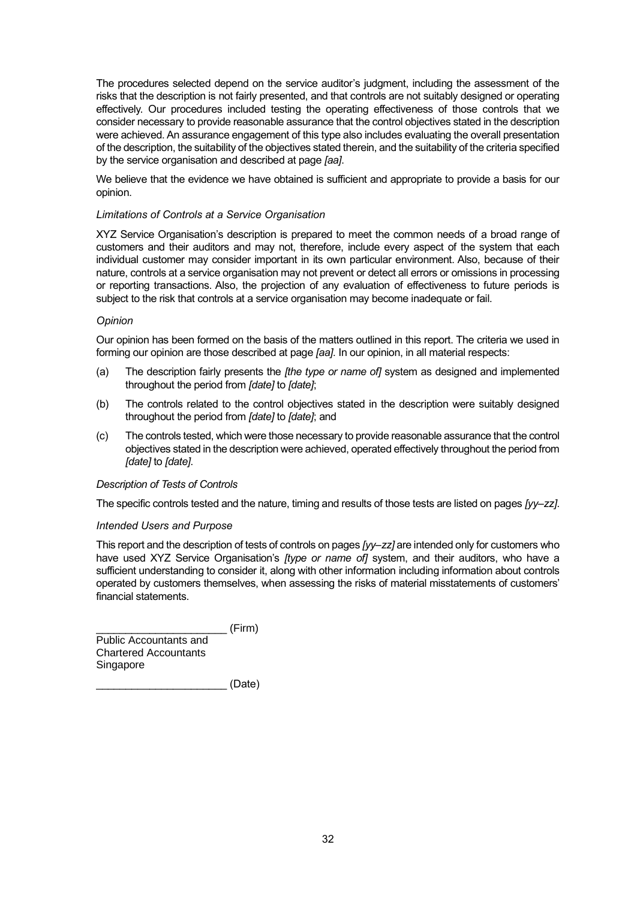The procedures selected depend on the service auditor's judgment, including the assessment of the risks that the description is not fairly presented, and that controls are not suitably designed or operating effectively. Our procedures included testing the operating effectiveness of those controls that we consider necessary to provide reasonable assurance that the control objectives stated in the description were achieved. An assurance engagement of this type also includes evaluating the overall presentation of the description, the suitability of the objectives stated therein, and the suitability of the criteria specified by the service organisation and described at page *[aa]*.

We believe that the evidence we have obtained is sufficient and appropriate to provide a basis for our opinion.

#### *Limitations of Controls at a Service Organisation*

XYZ Service Organisation's description is prepared to meet the common needs of a broad range of customers and their auditors and may not, therefore, include every aspect of the system that each individual customer may consider important in its own particular environment. Also, because of their nature, controls at a service organisation may not prevent or detect all errors or omissions in processing or reporting transactions. Also, the projection of any evaluation of effectiveness to future periods is subject to the risk that controls at a service organisation may become inadequate or fail.

#### *Opinion*

Our opinion has been formed on the basis of the matters outlined in this report. The criteria we used in forming our opinion are those described at page *[aa]*. In our opinion, in all material respects:

- (a) The description fairly presents the *[the type or name of]* system as designed and implemented throughout the period from *[date]* to *[date]*;
- (b) The controls related to the control objectives stated in the description were suitably designed throughout the period from *[date]* to *[date]*; and
- (c) The controls tested, which were those necessary to provide reasonable assurance that the control objectives stated in the description were achieved, operated effectively throughout the period from *[date]* to *[date]*.

## *Description of Tests of Controls*

The specific controls tested and the nature, timing and results of those tests are listed on pages *[yy*–*zz]*.

#### *Intended Users and Purpose*

This report and the description of tests of controls on pages *[yy*–*zz]* are intended only for customers who have used XYZ Service Organisation's *[type or name of]* system, and their auditors, who have a sufficient understanding to consider it, along with other information including information about controls operated by customers themselves, when assessing the risks of material misstatements of customers' financial statements.

 $(Firm)$ 

Public Accountants and Chartered Accountants **Singapore** 

\_\_\_\_\_\_\_\_\_\_\_\_\_\_\_\_\_\_\_\_\_\_ (Date)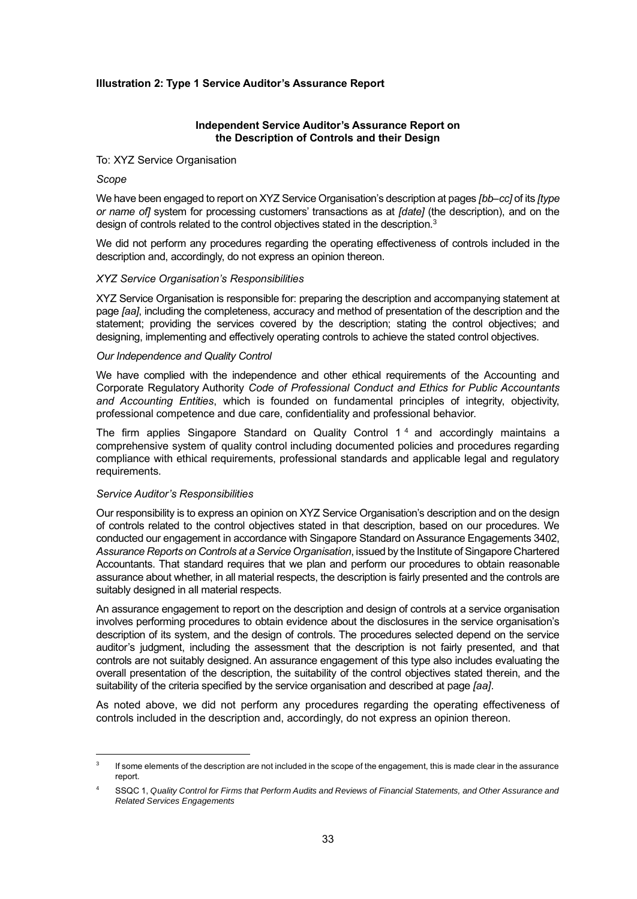#### **Illustration 2: Type 1 Service Auditor's Assurance Report**

#### **Independent Service Auditor's Assurance Report on the Description of Controls and their Design**

## To: XYZ Service Organisation

#### *Scope*

We have been engaged to report on XYZ Service Organisation's description at pages *[bb*–*cc]* of its *[type or name of]* system for processing customers' transactions as at *[date]* (the description), and on the design of controls related to the control objectives stated in the description.<sup>3</sup>

We did not perform any procedures regarding the operating effectiveness of controls included in the description and, accordingly, do not express an opinion thereon.

#### *XYZ Service Organisation's Responsibilities*

XYZ Service Organisation is responsible for: preparing the description and accompanying statement at page *[aa]*, including the completeness, accuracy and method of presentation of the description and the statement; providing the services covered by the description; stating the control objectives; and designing, implementing and effectively operating controls to achieve the stated control objectives.

#### *Our Independence and Quality Control*

We have complied with the independence and other ethical requirements of the Accounting and Corporate Regulatory Authority *Code of Professional Conduct and Ethics for Public Accountants and Accounting Entities*, which is founded on fundamental principles of integrity, objectivity, professional competence and due care, confidentiality and professional behavior.

The firm applies Singapore Standard on Quality Control 1 <sup>4</sup> and accordingly maintains a comprehensive system of quality control including documented policies and procedures regarding compliance with ethical requirements, professional standards and applicable legal and regulatory requirements.

#### *Service Auditor's Responsibilities*

Our responsibility is to express an opinion on XYZ Service Organisation's description and on the design of controls related to the control objectives stated in that description, based on our procedures. We conducted our engagement in accordance with Singapore Standard on Assurance Engagements 3402, *Assurance Reports on Controls at a Service Organisation*, issued by the Institute of Singapore Chartered Accountants. That standard requires that we plan and perform our procedures to obtain reasonable assurance about whether, in all material respects, the description is fairly presented and the controls are suitably designed in all material respects.

An assurance engagement to report on the description and design of controls at a service organisation involves performing procedures to obtain evidence about the disclosures in the service organisation's description of its system, and the design of controls. The procedures selected depend on the service auditor's judgment, including the assessment that the description is not fairly presented, and that controls are not suitably designed. An assurance engagement of this type also includes evaluating the overall presentation of the description, the suitability of the control objectives stated therein, and the suitability of the criteria specified by the service organisation and described at page *[aa]*.

As noted above, we did not perform any procedures regarding the operating effectiveness of controls included in the description and, accordingly, do not express an opinion thereon.

<sup>3</sup> If some elements of the description are not included in the scope of the engagement, this is made clear in the assurance report.

<sup>4</sup> SSQC 1, *Quality Control for Firms that Perform Audits and Reviews of Financial Statements, and Other Assurance and Related Services Engagements*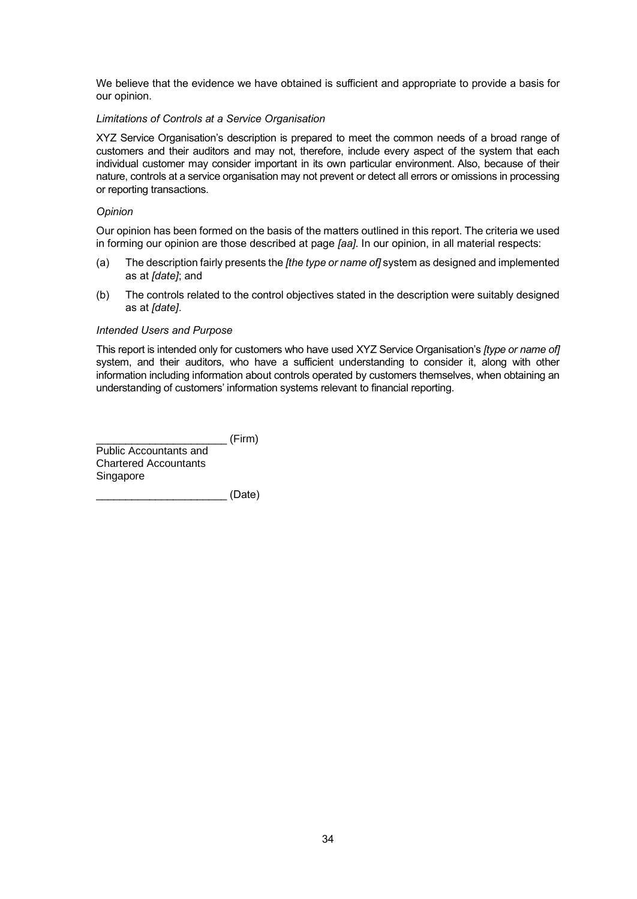We believe that the evidence we have obtained is sufficient and appropriate to provide a basis for our opinion.

#### *Limitations of Controls at a Service Organisation*

XYZ Service Organisation's description is prepared to meet the common needs of a broad range of customers and their auditors and may not, therefore, include every aspect of the system that each individual customer may consider important in its own particular environment. Also, because of their nature, controls at a service organisation may not prevent or detect all errors or omissions in processing or reporting transactions.

#### *Opinion*

Our opinion has been formed on the basis of the matters outlined in this report. The criteria we used in forming our opinion are those described at page *[aa]*. In our opinion, in all material respects:

- (a) The description fairly presents the *[the type or name of]* system as designed and implemented as at *[date]*; and
- (b) The controls related to the control objectives stated in the description were suitably designed as at *[date]*.

#### *Intended Users and Purpose*

This report is intended only for customers who have used XYZ Service Organisation's *[type or name of]* system, and their auditors, who have a sufficient understanding to consider it, along with other information including information about controls operated by customers themselves, when obtaining an understanding of customers' information systems relevant to financial reporting.

 $(Firm)$ Public Accountants and Chartered Accountants Singapore

\_\_\_\_\_\_\_\_\_\_\_\_\_\_\_\_\_\_\_\_\_\_ (Date)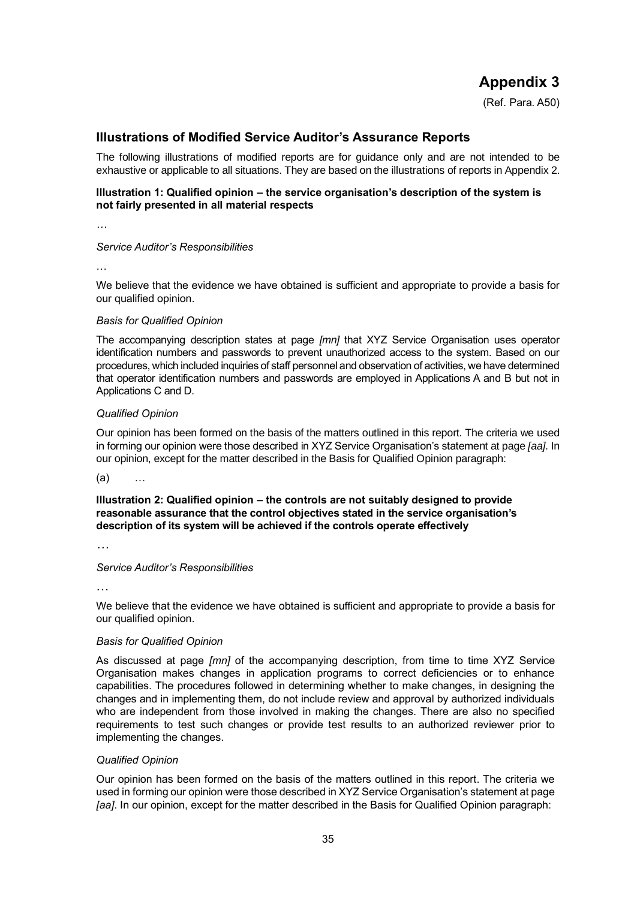# **Appendix 3**

(Ref. Para. A50)

## **Illustrations of Modified Service Auditor's Assurance Reports**

The following illustrations of modified reports are for guidance only and are not intended to be exhaustive or applicable to all situations. They are based on the illustrations of reports in Appendix 2.

#### **Illustration 1: Qualified opinion – the service organisation's description of the system is not fairly presented in all material respects**

*…*

#### *Service Auditor's Responsibilities*

…

We believe that the evidence we have obtained is sufficient and appropriate to provide a basis for our qualified opinion.

#### *Basis for Qualified Opinion*

The accompanying description states at page *[mn]* that XYZ Service Organisation uses operator identification numbers and passwords to prevent unauthorized access to the system. Based on our procedures, which included inquiries of staff personnel and observation of activities, we have determined that operator identification numbers and passwords are employed in Applications A and B but not in Applications C and D.

#### *Qualified Opinion*

Our opinion has been formed on the basis of the matters outlined in this report. The criteria we used in forming our opinion were those described in XYZ Service Organisation's statement at page *[aa]*. In our opinion, except for the matter described in the Basis for Qualified Opinion paragraph:

 $(a)$ 

#### **Illustration 2: Qualified opinion – the controls are not suitably designed to provide reasonable assurance that the control objectives stated in the service organisation's description of its system will be achieved if the controls operate effectively**

*…*

#### *Service Auditor's Responsibilities*

…

We believe that the evidence we have obtained is sufficient and appropriate to provide a basis for our qualified opinion.

#### *Basis for Qualified Opinion*

As discussed at page *[mn]* of the accompanying description, from time to time XYZ Service Organisation makes changes in application programs to correct deficiencies or to enhance capabilities. The procedures followed in determining whether to make changes, in designing the changes and in implementing them, do not include review and approval by authorized individuals who are independent from those involved in making the changes. There are also no specified requirements to test such changes or provide test results to an authorized reviewer prior to implementing the changes.

## *Qualified Opinion*

Our opinion has been formed on the basis of the matters outlined in this report. The criteria we used in forming our opinion were those described in XYZ Service Organisation's statement at page *[aa]*. In our opinion, except for the matter described in the Basis for Qualified Opinion paragraph: